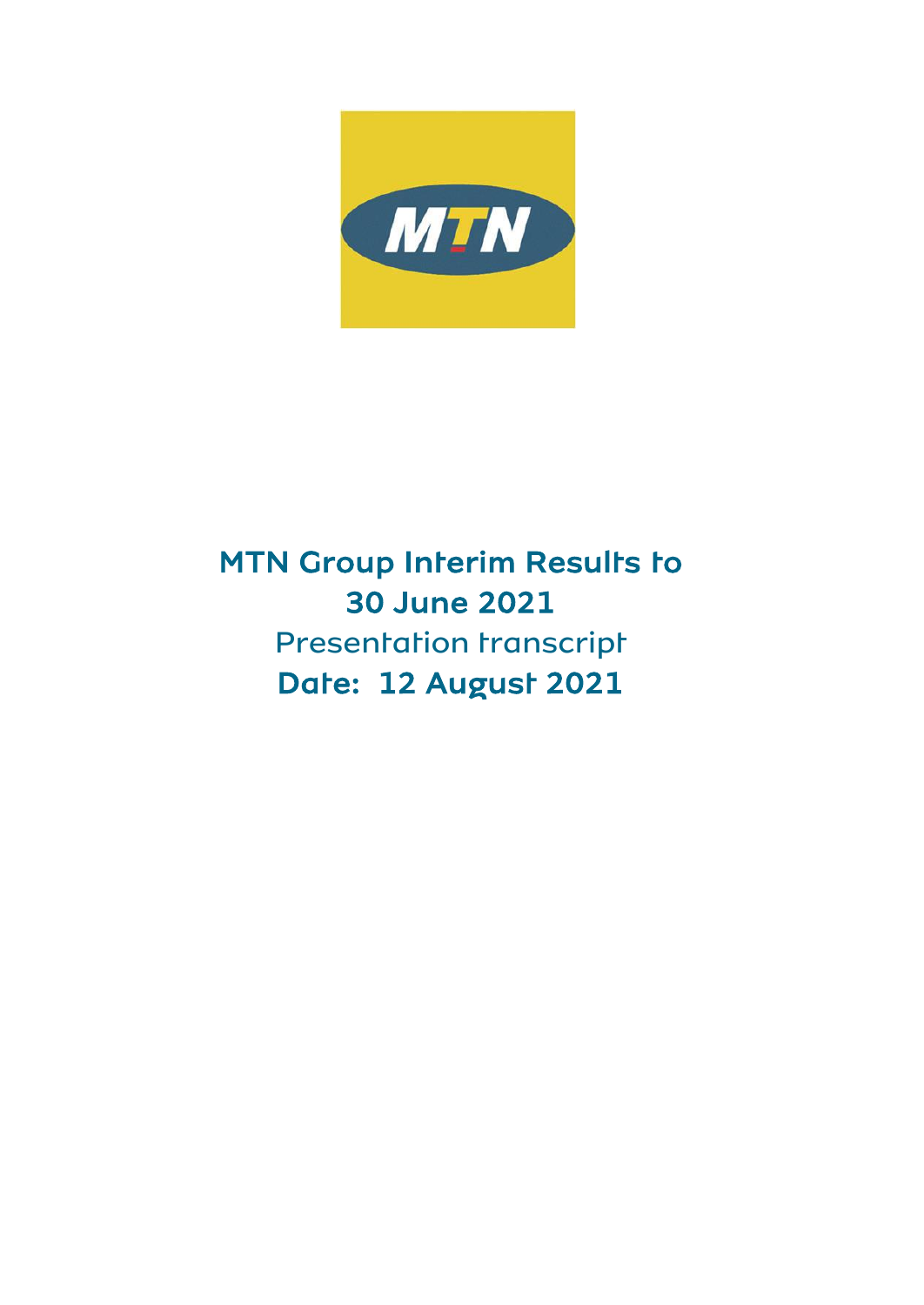

# $\overline{a}$  MTN Group Interim Results to 30 June 2021 Date: 12 August 2021 Presentation transcript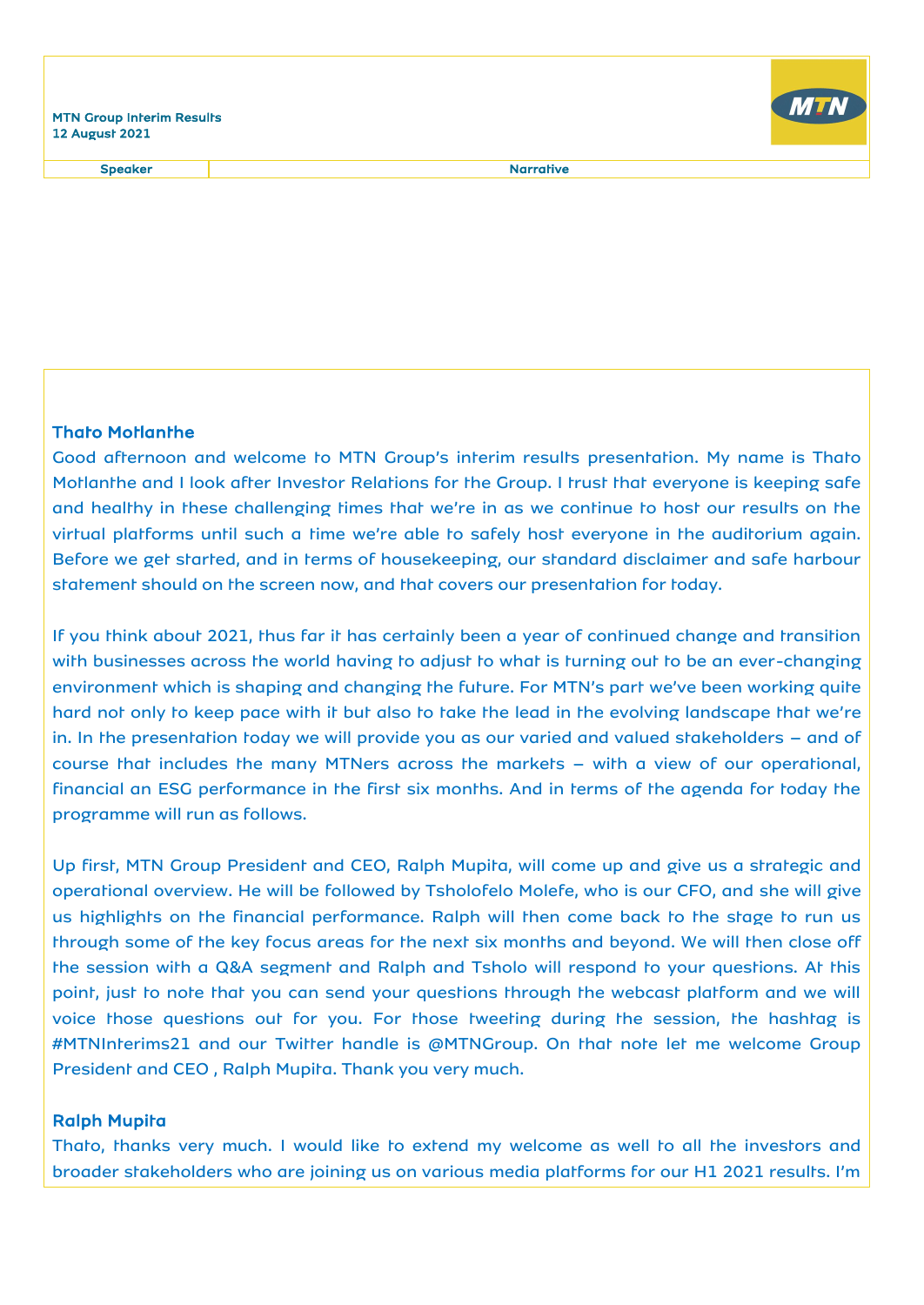Speaker Narrative Narrative



## Thato Motlanthe

Good afternoon and welcome to MTN Group's interim results presentation. My name is Thato Motlanthe and I look after Investor Relations for the Group. I trust that everyone is keeping safe and healthy in these challenging times that we're in as we continue to host our results on the virtual platforms until such a time we're able to safely host everyone in the auditorium again. Before we get started, and in terms of housekeeping, our standard disclaimer and safe harbour statement should on the screen now, and that covers our presentation for today.

If you think about 2021, thus far it has certainly been a year of continued change and transition with businesses across the world having to adjust to what is turning out to be an ever-changing environment which is shaping and changing the future. For MTN's part we've been working quite hard not only to keep pace with it but also to take the lead in the evolving landscape that we're in. In the presentation today we will provide you as our varied and valued stakeholders – and of course that includes the many MTNers across the markets – with a view of our operational, financial an ESG performance in the first six months. And in terms of the agenda for today the programme will run as follows.

Up first, MTN Group President and CEO, Ralph Mupita, will come up and give us a strategic and operational overview. He will be followed by Tsholofelo Molefe, who is our CFO, and she will give us highlights on the financial performance. Ralph will then come back to the stage to run us through some of the key focus areas for the next six months and beyond. We will then close off the session with a Q&A segment and Ralph and Tsholo will respond to your questions. At this point, just to note that you can send your questions through the webcast platform and we will voice those questions out for you. For those tweeting during the session, the hashtag is #MTNInterims21 and our Twitter handle is @MTNGroup. On that note let me welcome Group President and CEO , Ralph Mupita. Thank you very much.

## Ralph Mupita

Thato, thanks very much. I would like to extend my welcome as well to all the investors and broader stakeholders who are joining us on various media platforms for our H1 2021 results. I'm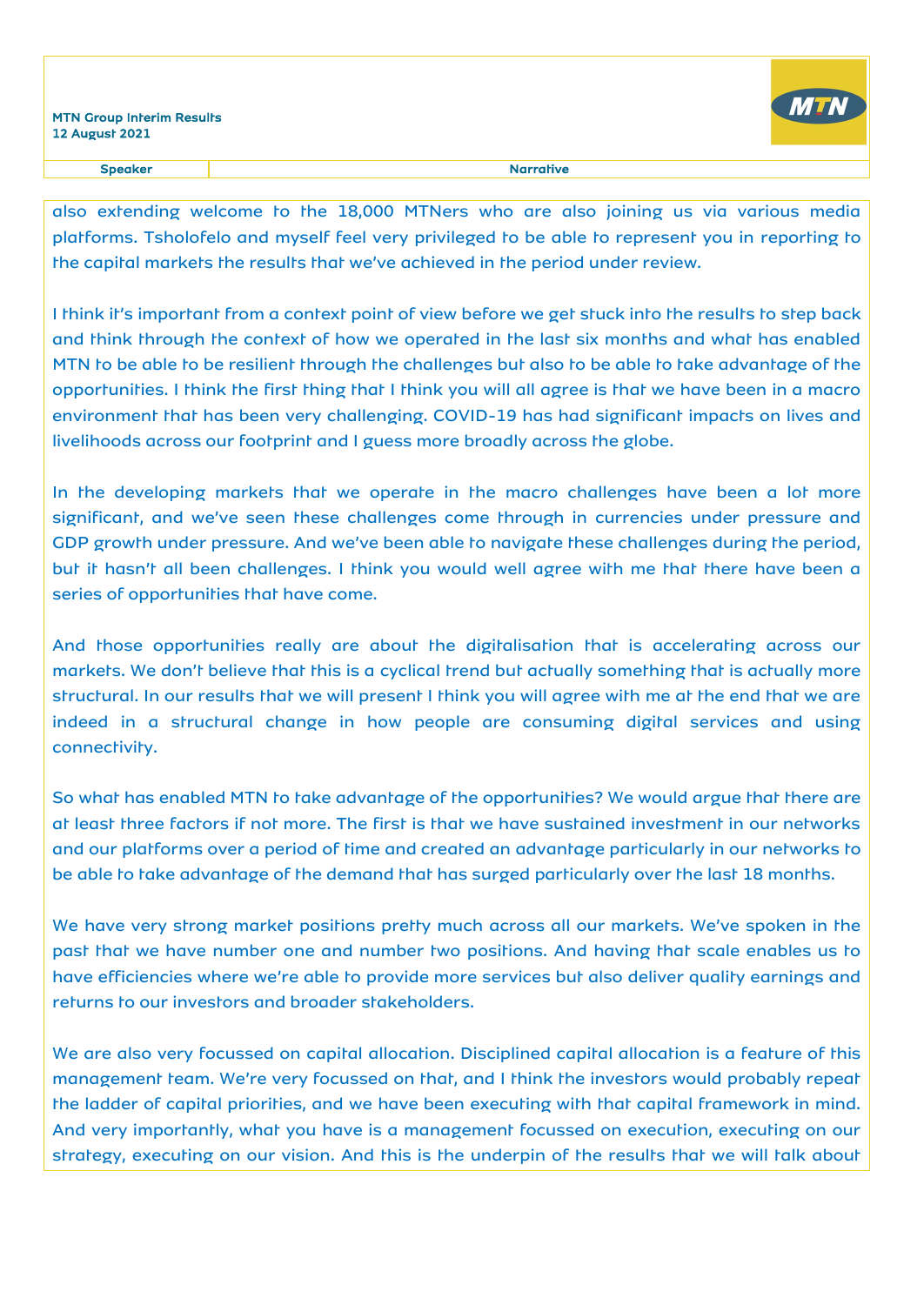

also extending welcome to the 18,000 MTNers who are also joining us via various media platforms. Tsholofelo and myself feel very privileged to be able to represent you in reporting to the capital markets the results that we've achieved in the period under review.

I think it's important from a context point of view before we get stuck into the results to step back and think through the context of how we operated in the last six months and what has enabled MTN to be able to be resilient through the challenges but also to be able to take advantage of the opportunities. I think the first thing that I think you will all agree is that we have been in a macro environment that has been very challenging. COVID-19 has had significant impacts on lives and livelihoods across our footprint and I guess more broadly across the globe.

In the developing markets that we operate in the macro challenges have been a lot more significant, and we've seen these challenges come through in currencies under pressure and GDP growth under pressure. And we've been able to navigate these challenges during the period, but it hasn't all been challenges. I think you would well agree with me that there have been a series of opportunities that have come.

And those opportunities really are about the digitalisation that is accelerating across our markets. We don't believe that this is a cyclical trend but actually something that is actually more structural. In our results that we will present I think you will agree with me at the end that we are indeed in a structural change in how people are consuming digital services and using connectivity.

So what has enabled MTN to take advantage of the opportunities? We would argue that there are at least three factors if not more. The first is that we have sustained investment in our networks and our platforms over a period of time and created an advantage particularly in our networks to be able to take advantage of the demand that has surged particularly over the last 18 months.

We have very strong market positions pretty much across all our markets. We've spoken in the past that we have number one and number two positions. And having that scale enables us to have efficiencies where we're able to provide more services but also deliver quality earnings and returns to our investors and broader stakeholders.

We are also very focussed on capital allocation. Disciplined capital allocation is a feature of this management team. We're very focussed on that, and I think the investors would probably repeat the ladder of capital priorities, and we have been executing with that capital framework in mind. And very importantly, what you have is a management focussed on execution, executing on our strategy, executing on our vision. And this is the underpin of the results that we will talk about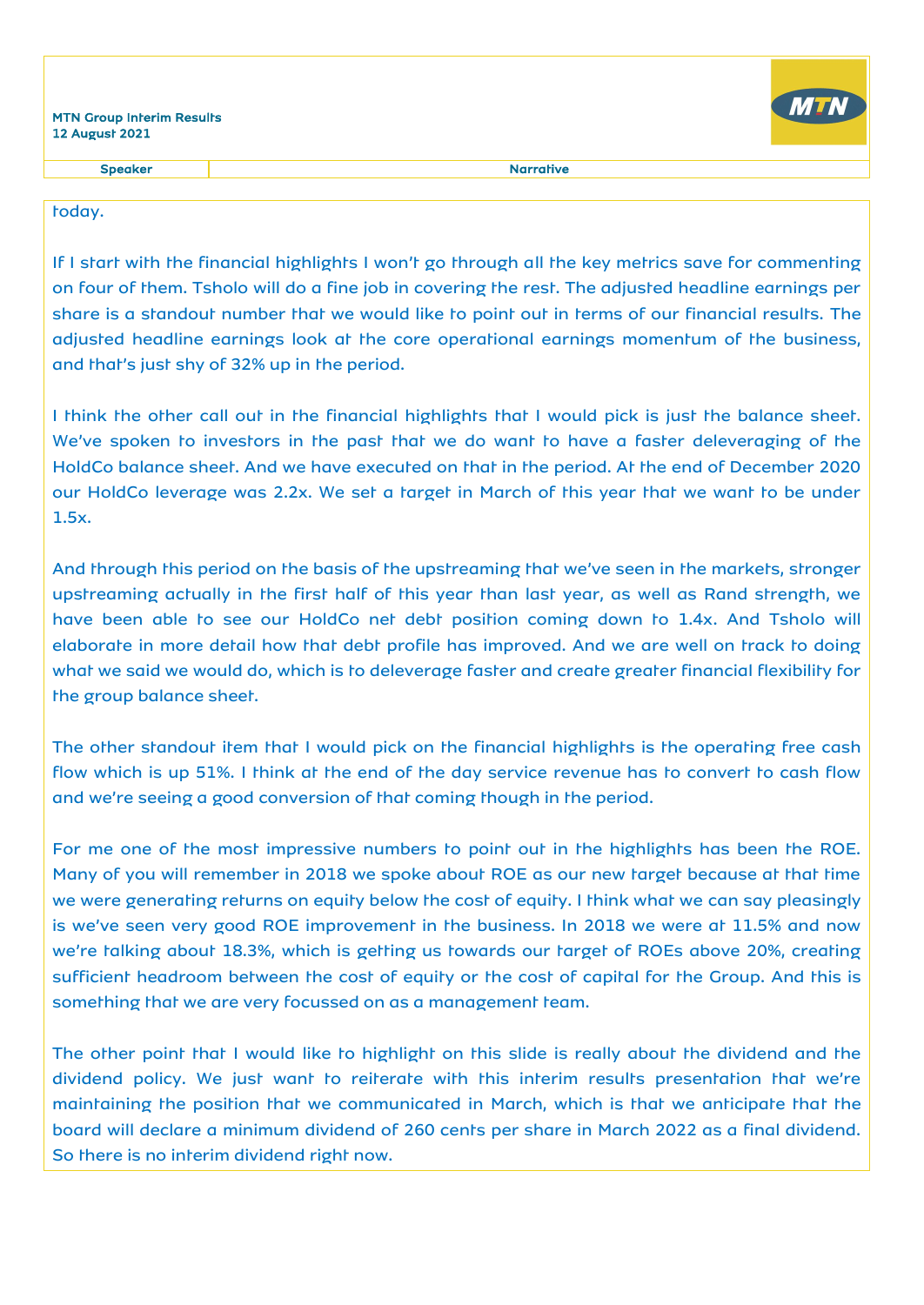Speaker and the state of the state of the state of the Speaker and the Speaker and the Speaker and the Speaker

### today.

If I start with the financial highlights I won't go through all the key metrics save for commenting on four of them. Tsholo will do a fine job in covering the rest. The adjusted headline earnings per share is a standout number that we would like to point out in terms of our financial results. The adjusted headline earnings look at the core operational earnings momentum of the business, and that's just shy of 32% up in the period.

I think the other call out in the financial highlights that I would pick is just the balance sheet. We've spoken to investors in the past that we do want to have a faster deleveraging of the HoldCo balance sheet. And we have executed on that in the period. At the end of December 2020 our HoldCo leverage was 2.2x. We set a target in March of this year that we want to be under 1.5x.

And through this period on the basis of the upstreaming that we've seen in the markets, stronger upstreaming actually in the first half of this year than last year, as well as Rand strength, we have been able to see our HoldCo net debt position coming down to 1.4x. And Tsholo will elaborate in more detail how that debt profile has improved. And we are well on track to doing what we said we would do, which is to deleverage faster and create greater financial flexibility for the group balance sheet.

The other standout item that I would pick on the financial highlights is the operating free cash flow which is up 51%. I think at the end of the day service revenue has to convert to cash flow and we're seeing a good conversion of that coming though in the period.

For me one of the most impressive numbers to point out in the highlights has been the ROE. Many of you will remember in 2018 we spoke about ROE as our new target because at that time we were generating returns on equity below the cost of equity. I think what we can say pleasingly is we've seen very good ROE improvement in the business. In 2018 we were at 11.5% and now we're talking about 18.3%, which is getting us towards our target of ROEs above 20%, creating sufficient headroom between the cost of equity or the cost of capital for the Group. And this is something that we are very focussed on as a management team.

The other point that I would like to highlight on this slide is really about the dividend and the dividend policy. We just want to reiterate with this interim results presentation that we're maintaining the position that we communicated in March, which is that we anticipate that the board will declare a minimum dividend of 260 cents per share in March 2022 as a final dividend. So there is no interim dividend right now.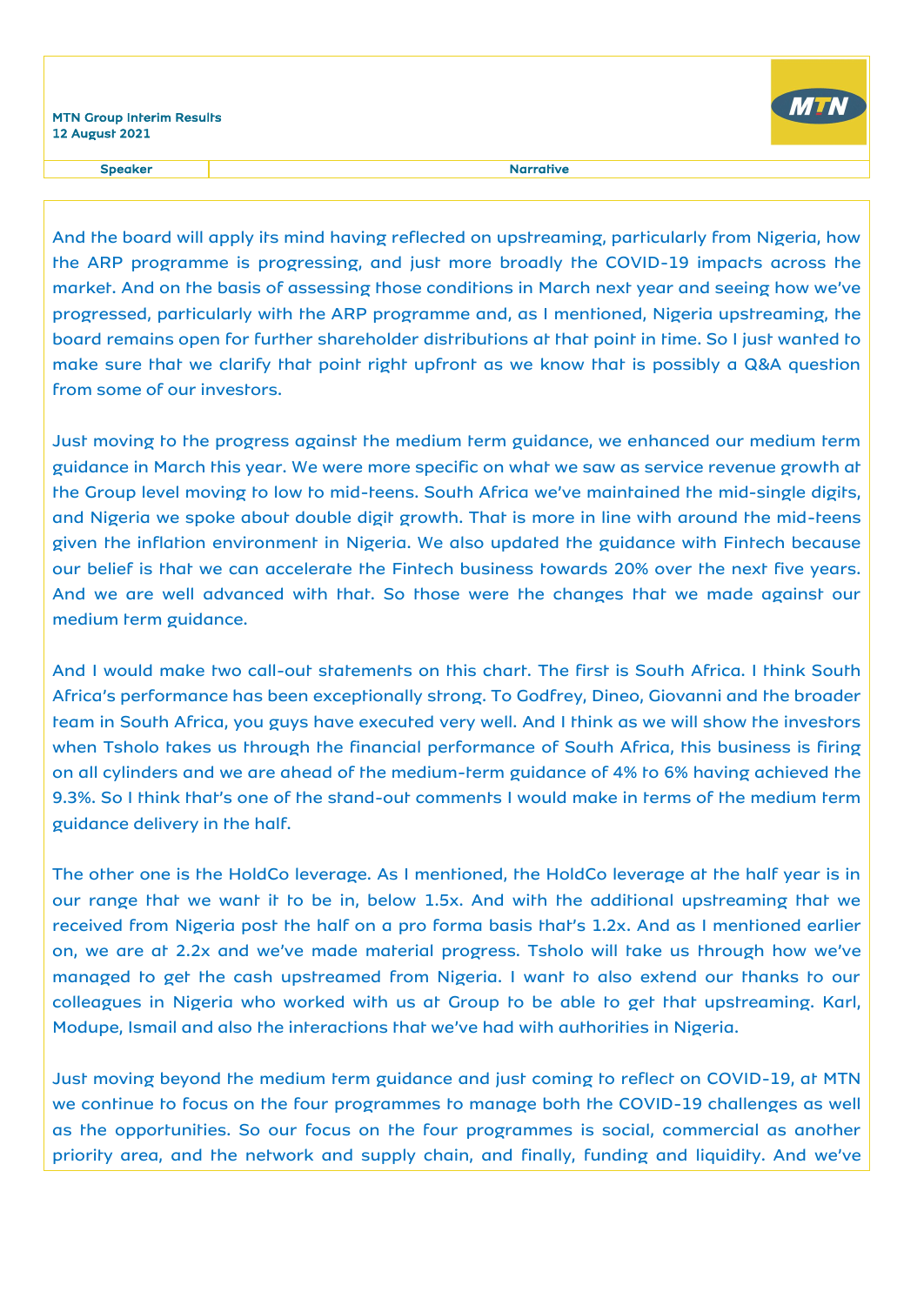

Speaker and the state of the state of the state of the Speaker and the Speaker and the Speaker and the Speaker

And the board will apply its mind having reflected on upstreaming, particularly from Nigeria, how the ARP programme is progressing, and just more broadly the COVID-19 impacts across the market. And on the basis of assessing those conditions in March next year and seeing how we've progressed, particularly with the ARP programme and, as I mentioned, Nigeria upstreaming, the board remains open for further shareholder distributions at that point in time. So I just wanted to make sure that we clarify that point right upfront as we know that is possibly a Q&A question from some of our investors.

Just moving to the progress against the medium term guidance, we enhanced our medium term guidance in March this year. We were more specific on what we saw as service revenue growth at the Group level moving to low to mid-teens. South Africa we've maintained the mid-single digits, and Nigeria we spoke about double digit growth. That is more in line with around the mid-teens given the inflation environment in Nigeria. We also updated the guidance with Fintech because our belief is that we can accelerate the Fintech business towards 20% over the next five years. And we are well advanced with that. So those were the changes that we made against our medium term guidance.

And I would make two call-out statements on this chart. The first is South Africa. I think South Africa's performance has been exceptionally strong. To Godfrey, Dineo, Giovanni and the broader team in South Africa, you guys have executed very well. And I think as we will show the investors when Tsholo takes us through the financial performance of South Africa, this business is firing on all cylinders and we are ahead of the medium-term guidance of 4% to 6% having achieved the 9.3%. So I think that's one of the stand-out comments I would make in terms of the medium term guidance delivery in the half.

The other one is the HoldCo leverage. As I mentioned, the HoldCo leverage at the half year is in our range that we want it to be in, below 1.5x. And with the additional upstreaming that we received from Nigeria post the half on a pro forma basis that's 1.2x. And as I mentioned earlier on, we are at 2.2x and we've made material progress. Tsholo will take us through how we've managed to get the cash upstreamed from Nigeria. I want to also extend our thanks to our colleagues in Nigeria who worked with us at Group to be able to get that upstreaming. Karl, Modupe, Ismail and also the interactions that we've had with authorities in Nigeria.

Just moving beyond the medium term guidance and just coming to reflect on COVID-19, at MTN we continue to focus on the four programmes to manage both the COVID-19 challenges as well as the opportunities. So our focus on the four programmes is social, commercial as another priority area, and the network and supply chain, and finally, funding and liquidity. And we've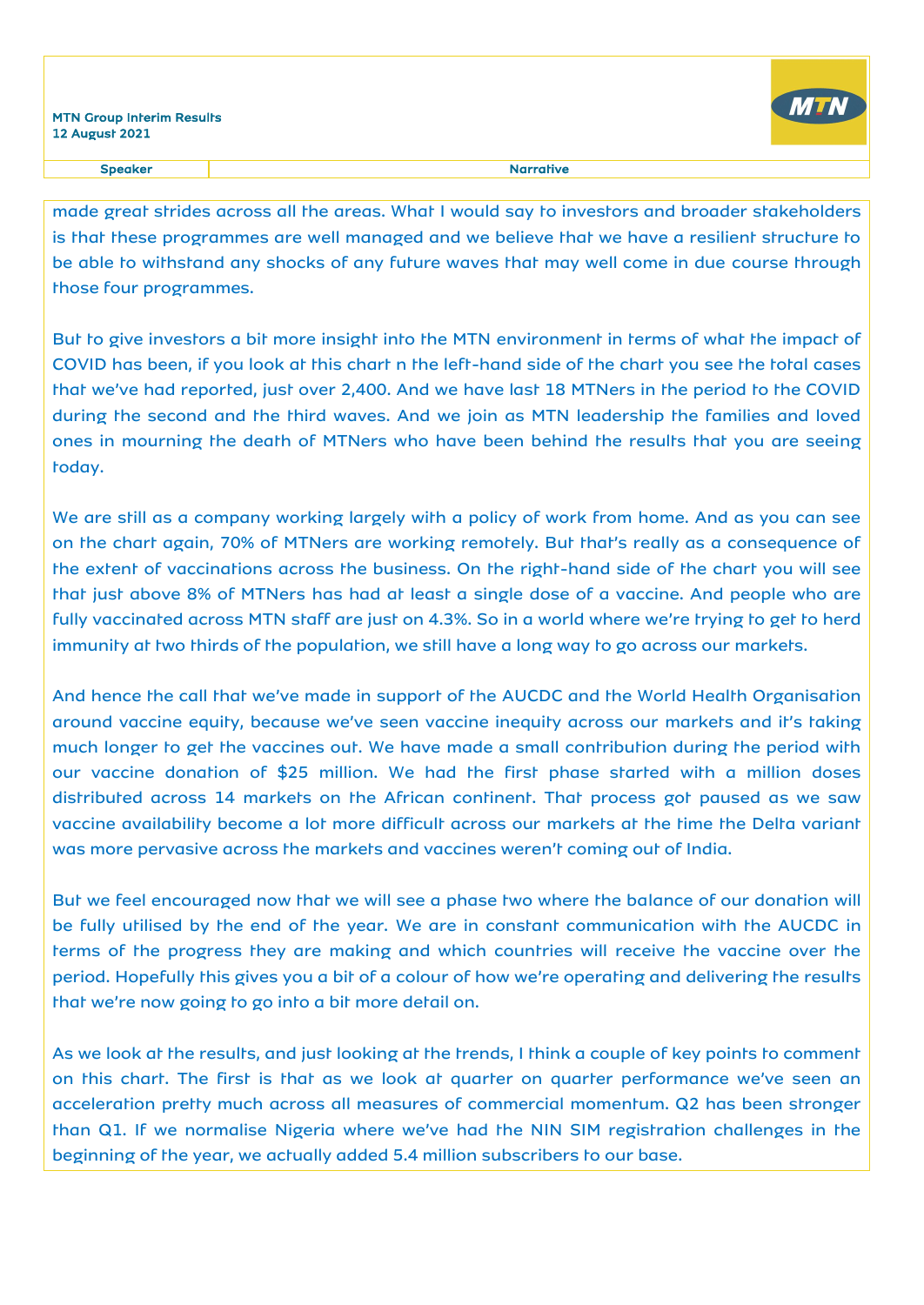

made great strides across all the areas. What I would say to investors and broader stakeholders is that these programmes are well managed and we believe that we have a resilient structure to be able to withstand any shocks of any future waves that may well come in due course through those four programmes.

But to give investors a bit more insight into the MTN environment in terms of what the impact of COVID has been, if you look at this chart n the left-hand side of the chart you see the total cases that we've had reported, just over 2,400. And we have last 18 MTNers in the period to the COVID during the second and the third waves. And we join as MTN leadership the families and loved ones in mourning the death of MTNers who have been behind the results that you are seeing today.

We are still as a company working largely with a policy of work from home. And as you can see on the chart again, 70% of MTNers are working remotely. But that's really as a consequence of the extent of vaccinations across the business. On the right-hand side of the chart you will see that just above 8% of MTNers has had at least a single dose of a vaccine. And people who are fully vaccinated across MTN staff are just on 4.3%. So in a world where we're trying to get to herd immunity at two thirds of the population, we still have a long way to go across our markets.

And hence the call that we've made in support of the AUCDC and the World Health Organisation around vaccine equity, because we've seen vaccine inequity across our markets and it's taking much longer to get the vaccines out. We have made a small contribution during the period with our vaccine donation of \$25 million. We had the first phase started with a million doses distributed across 14 markets on the African continent. That process got paused as we saw vaccine availability become a lot more difficult across our markets at the time the Delta variant was more pervasive across the markets and vaccines weren't coming out of India.

But we feel encouraged now that we will see a phase two where the balance of our donation will be fully utilised by the end of the year. We are in constant communication with the AUCDC in terms of the progress they are making and which countries will receive the vaccine over the period. Hopefully this gives you a bit of a colour of how we're operating and delivering the results that we're now going to go into a bit more detail on.

As we look at the results, and just looking at the trends, I think a couple of key points to comment on this chart. The first is that as we look at quarter on quarter performance we've seen an acceleration pretty much across all measures of commercial momentum. Q2 has been stronger than Q1. If we normalise Nigeria where we've had the NIN SIM registration challenges in the beginning of the year, we actually added 5.4 million subscribers to our base.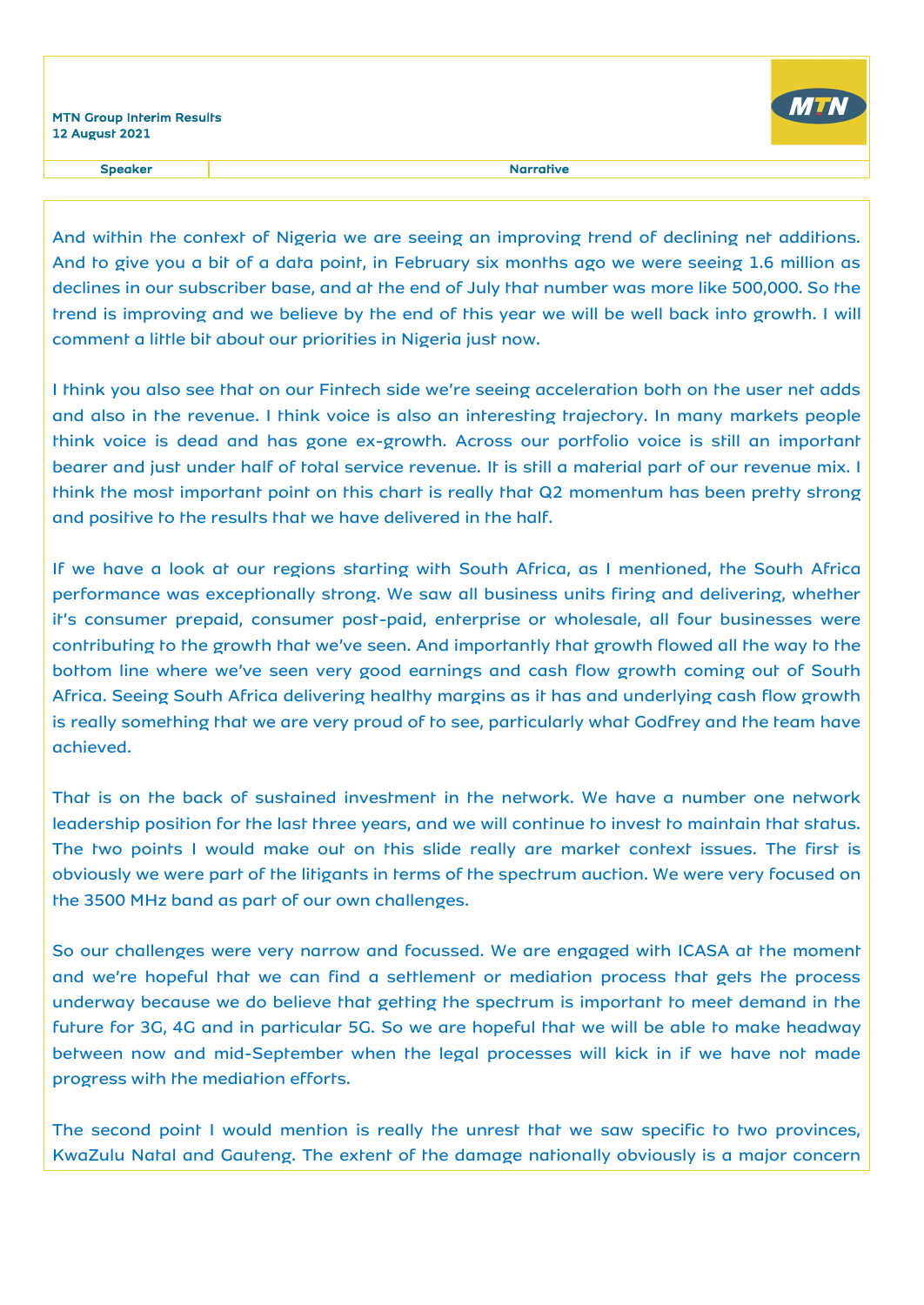

Speaker and the state of the state of the state of the Speaker and the Speaker and the Speaker and the Speaker

And within the context of Nigeria we are seeing an improving trend of declining net additions. And to give you a bit of a data point, in February six months ago we were seeing 1.6 million as declines in our subscriber base, and at the end of July that number was more like 500,000. So the trend is improving and we believe by the end of this year we will be well back into growth. I will comment a little bit about our priorities in Nigeria just now.

I think you also see that on our Fintech side we're seeing acceleration both on the user net adds and also in the revenue. I think voice is also an interesting trajectory. In many markets people think voice is dead and has gone ex-growth. Across our portfolio voice is still an important bearer and just under half of total service revenue. It is still a material part of our revenue mix. I think the most important point on this chart is really that Q2 momentum has been pretty strong and positive to the results that we have delivered in the half.

If we have a look at our regions starting with South Africa, as I mentioned, the South Africa performance was exceptionally strong. We saw all business units firing and delivering, whether it's consumer prepaid, consumer post-paid, enterprise or wholesale, all four businesses were contributing to the growth that we've seen. And importantly that growth flowed all the way to the bottom line where we've seen very good earnings and cash flow growth coming out of South Africa. Seeing South Africa delivering healthy margins as it has and underlying cash flow growth is really something that we are very proud of to see, particularly what Godfrey and the team have achieved.

That is on the back of sustained investment in the network. We have a number one network leadership position for the last three years, and we will continue to invest to maintain that status. The two points I would make out on this slide really are market context issues. The first is obviously we were part of the litigants in terms of the spectrum auction. We were very focused on the 3500 MHz band as part of our own challenges.

So our challenges were very narrow and focussed. We are engaged with ICASA at the moment and we're hopeful that we can find a settlement or mediation process that gets the process underway because we do believe that getting the spectrum is important to meet demand in the future for 3G, 4G and in particular 5G. So we are hopeful that we will be able to make headway between now and mid-September when the legal processes will kick in if we have not made progress with the mediation efforts.

The second point I would mention is really the unrest that we saw specific to two provinces, KwaZulu Natal and Gauteng. The extent of the damage nationally obviously is a major concern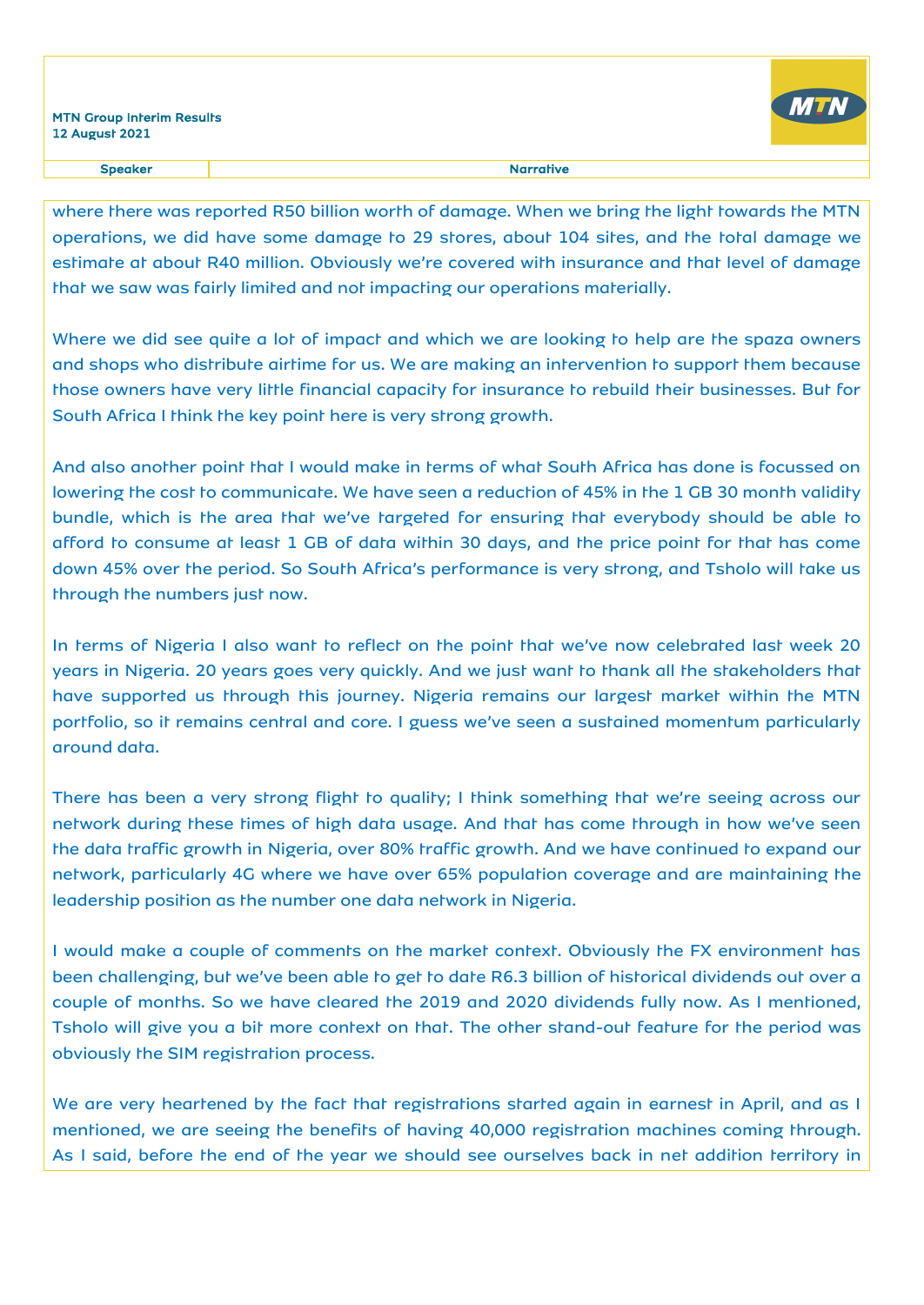

where there was reported R50 billion worth of damage. When we bring the light towards the MTN operations, we did have some damage to 29 stores, about 104 sites, and the total damage we estimate at about R40 million. Obviously we're covered with insurance and that level of damage that we saw was fairly limited and not impacting our operations materially.

Where we did see quite a lot of impact and which we are looking to help are the spaza owners and shops who distribute airtime for us. We are making an intervention to support them because those owners have very little financial capacity for insurance to rebuild their businesses. But for South Africa I think the key point here is very strong growth.

And also another point that I would make in terms of what South Africa has done is focussed on lowering the cost to communicate. We have seen a reduction of 45% in the 1 GB 30 month validity bundle, which is the area that we've targeted for ensuring that everybody should be able to afford to consume at least 1 GB of data within 30 days, and the price point for that has come down 45% over the period. So South Africa's performance is very strong, and Tsholo will take us through the numbers just now.

In terms of Nigeria I also want to reflect on the point that we've now celebrated last week 20 years in Nigeria. 20 years goes very quickly. And we just want to thank all the stakeholders that have supported us through this journey. Nigeria remains our largest market within the MTN portfolio, so it remains central and core. I guess we've seen a sustained momentum particularly around data.

There has been a very strong flight to quality; I think something that we're seeing across our network during these times of high data usage. And that has come through in how we've seen the data traffic growth in Nigeria, over 80% traffic growth. And we have continued to expand our network, particularly 4G where we have over 65% population coverage and are maintaining the leadership position as the number one data network in Nigeria.

I would make a couple of comments on the market context. Obviously the FX environment has been challenging, but we've been able to get to date R6.3 billion of historical dividends out over a couple of months. So we have cleared the 2019 and 2020 dividends fully now. As I mentioned, Tsholo will give you a bit more context on that. The other stand-out feature for the period was obviously the SIM registration process.

We are very heartened by the fact that registrations started again in earnest in April, and as I mentioned, we are seeing the benefits of having 40,000 registration machines coming through. As I said, before the end of the year we should see ourselves back in net addition territory in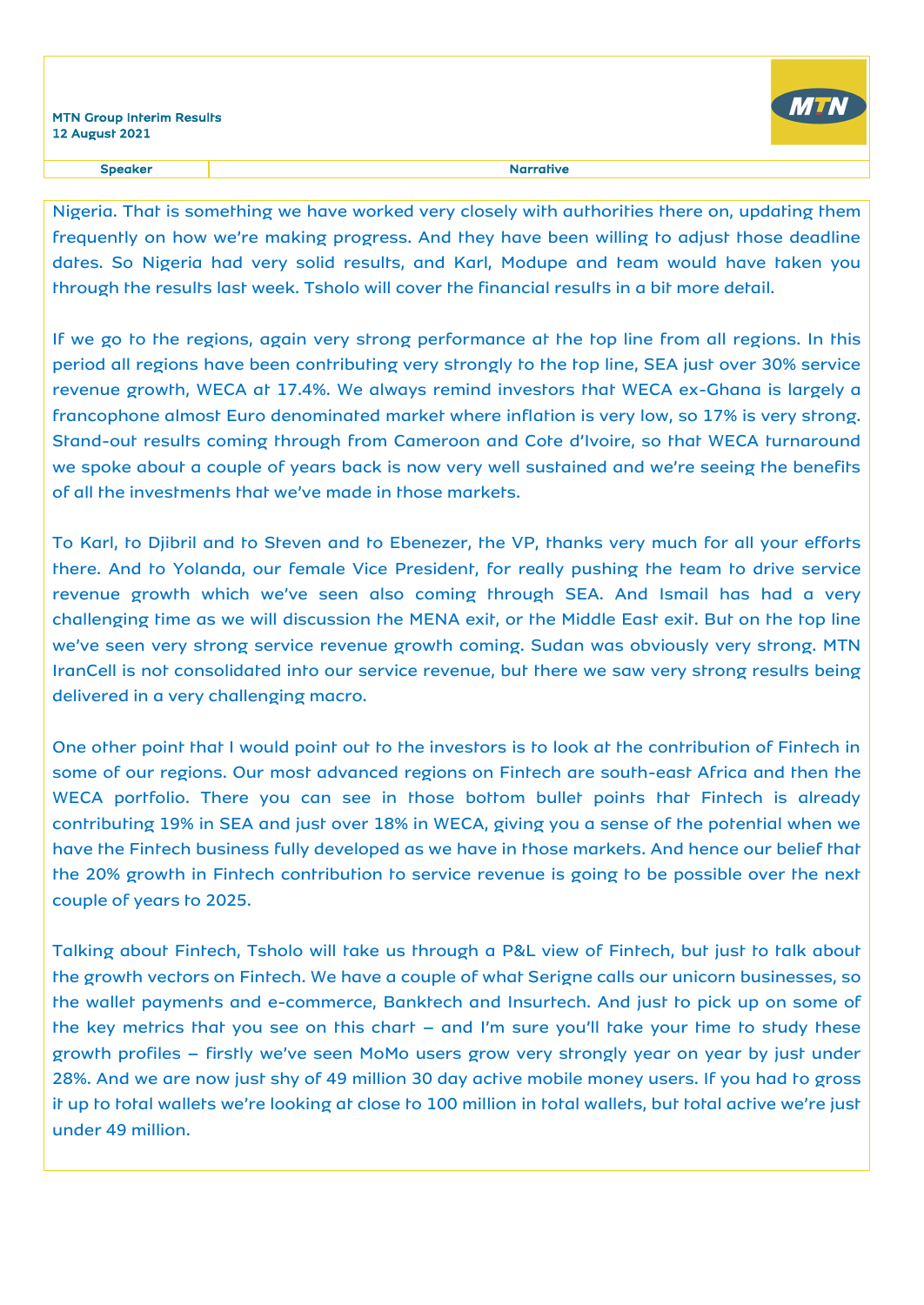#### Speaker and the state of the state of the state of the Speaker and the Speaker and the Speaker and the Speaker

Nigeria. That is something we have worked very closely with authorities there on, updating them frequently on how we're making progress. And they have been willing to adjust those deadline dates. So Nigeria had very solid results, and Karl, Modupe and team would have taken you through the results last week. Tsholo will cover the financial results in a bit more detail.

If we go to the regions, again very strong performance at the top line from all regions. In this period all regions have been contributing very strongly to the top line, SEA just over 30% service revenue growth, WECA at 17.4%. We always remind investors that WECA ex-Ghana is largely a francophone almost Euro denominated market where inflation is very low, so 17% is very strong. Stand-out results coming through from Cameroon and Cote d'Ivoire, so that WECA turnaround we spoke about a couple of years back is now very well sustained and we're seeing the benefits of all the investments that we've made in those markets.

To Karl, to Djibril and to Steven and to Ebenezer, the VP, thanks very much for all your efforts there. And to Yolanda, our female Vice President, for really pushing the team to drive service revenue growth which we've seen also coming through SEA. And Ismail has had a very challenging time as we will discussion the MENA exit, or the Middle East exit. But on the top line we've seen very strong service revenue growth coming. Sudan was obviously very strong. MTN IranCell is not consolidated into our service revenue, but there we saw very strong results being delivered in a very challenging macro.

One other point that I would point out to the investors is to look at the contribution of Fintech in some of our regions. Our most advanced regions on Fintech are south-east Africa and then the WECA portfolio. There you can see in those bottom bullet points that Fintech is already contributing 19% in SEA and just over 18% in WECA, giving you a sense of the potential when we have the Fintech business fully developed as we have in those markets. And hence our belief that the 20% growth in Fintech contribution to service revenue is going to be possible over the next couple of years to 2025.

Talking about Fintech, Tsholo will take us through a P&L view of Fintech, but just to talk about the growth vectors on Fintech. We have a couple of what Serigne calls our unicorn businesses, so the wallet payments and e-commerce, Banktech and Insurtech. And just to pick up on some of the key metrics that you see on this chart – and I'm sure you'll take your time to study these growth profiles – firstly we've seen MoMo users grow very strongly year on year by just under 28%. And we are now just shy of 49 million 30 day active mobile money users. If you had to gross it up to total wallets we're looking at close to 100 million in total wallets, but total active we're just under 49 million.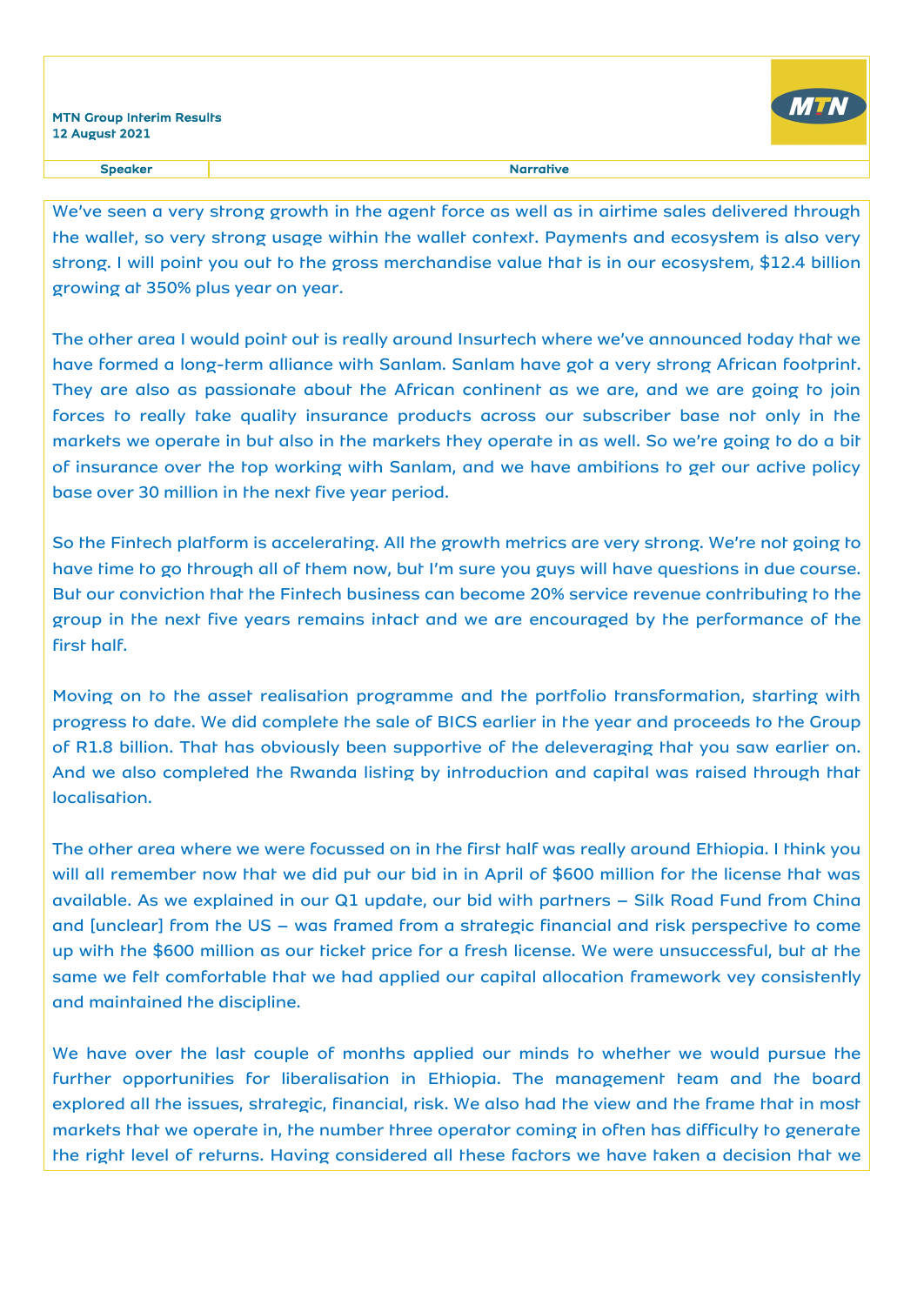

We've seen a very strong growth in the agent force as well as in airtime sales delivered through the wallet, so very strong usage within the wallet context. Payments and ecosystem is also very strong. I will point you out to the gross merchandise value that is in our ecosystem, \$12.4 billion growing at 350% plus year on year.

The other area I would point out is really around Insurtech where we've announced today that we have formed a long-term alliance with Sanlam. Sanlam have got a very strong African footprint. They are also as passionate about the African continent as we are, and we are going to join forces to really take quality insurance products across our subscriber base not only in the markets we operate in but also in the markets they operate in as well. So we're going to do a bit of insurance over the top working with Sanlam, and we have ambitions to get our active policy base over 30 million in the next five year period.

So the Fintech platform is accelerating. All the growth metrics are very strong. We're not going to have time to go through all of them now, but I'm sure you guys will have questions in due course. But our conviction that the Fintech business can become 20% service revenue contributing to the group in the next five years remains intact and we are encouraged by the performance of the first half.

Moving on to the asset realisation programme and the portfolio transformation, starting with progress to date. We did complete the sale of BICS earlier in the year and proceeds to the Group of R1.8 billion. That has obviously been supportive of the deleveraging that you saw earlier on. And we also completed the Rwanda listing by introduction and capital was raised through that localisation.

The other area where we were focussed on in the first half was really around Ethiopia. I think you will all remember now that we did put our bid in in April of \$600 million for the license that was available. As we explained in our Q1 update, our bid with partners – Silk Road Fund from China and [unclear] from the US – was framed from a strategic financial and risk perspective to come up with the \$600 million as our ticket price for a fresh license. We were unsuccessful, but at the same we felt comfortable that we had applied our capital allocation framework vey consistently and maintained the discipline.

We have over the last couple of months applied our minds to whether we would pursue the further opportunities for liberalisation in Ethiopia. The management team and the board explored all the issues, strategic, financial, risk. We also had the view and the frame that in most markets that we operate in, the number three operator coming in often has difficulty to generate the right level of returns. Having considered all these factors we have taken a decision that we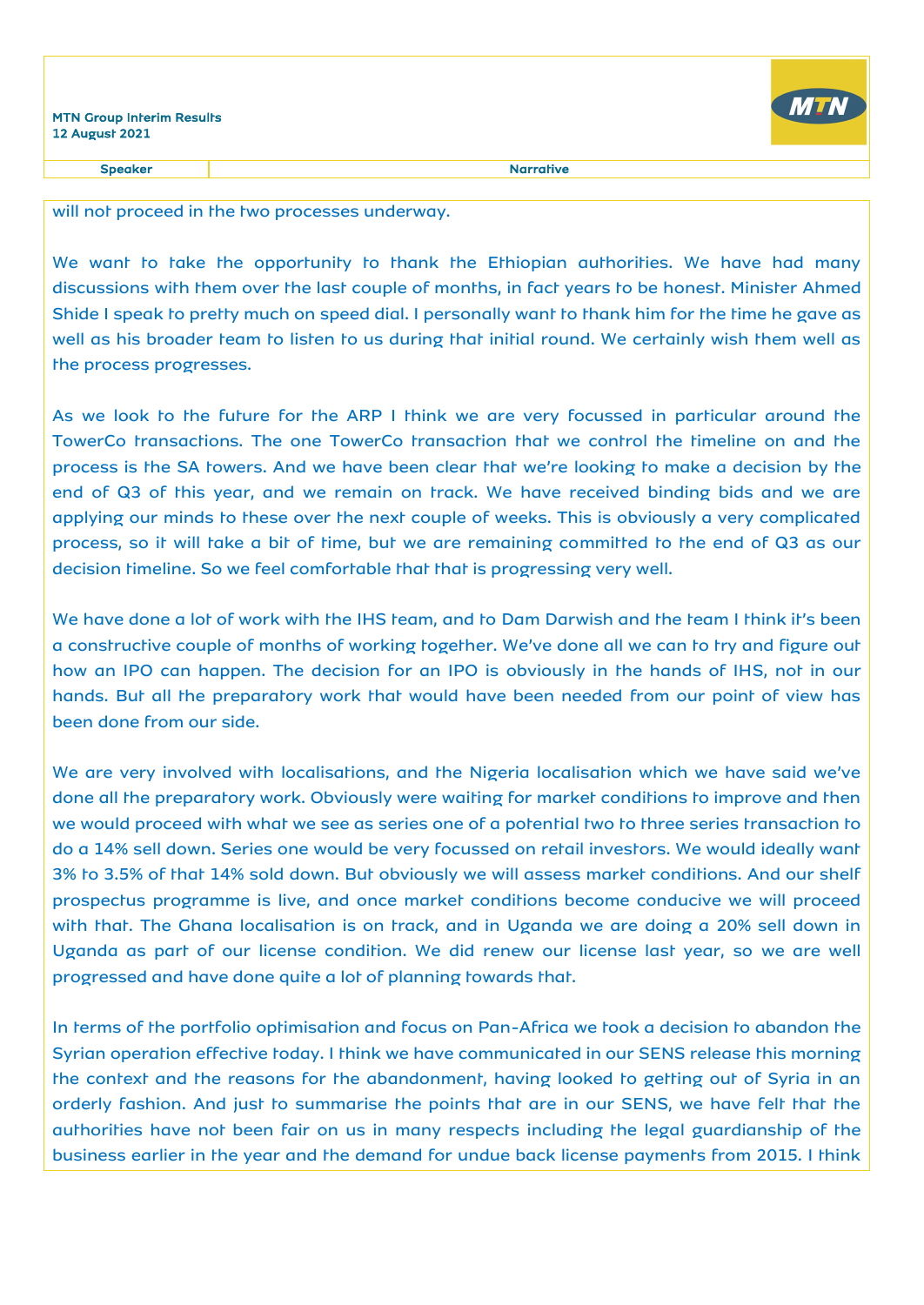

Speaker and the state of the state of the state of the state of the state of the state of the state of the state of the state of the state of the state of the state of the state of the state of the state of the state of th

will not proceed in the two processes underway.

We want to take the opportunity to thank the Ethiopian authorities. We have had many discussions with them over the last couple of months, in fact years to be honest. Minister Ahmed Shide I speak to pretty much on speed dial. I personally want to thank him for the time he gave as well as his broader team to listen to us during that initial round. We certainly wish them well as the process progresses.

As we look to the future for the ARP I think we are very focussed in particular around the TowerCo transactions. The one TowerCo transaction that we control the timeline on and the process is the SA towers. And we have been clear that we're looking to make a decision by the end of Q3 of this year, and we remain on track. We have received binding bids and we are applying our minds to these over the next couple of weeks. This is obviously a very complicated process, so it will take a bit of time, but we are remaining committed to the end of Q3 as our decision timeline. So we feel comfortable that that is progressing very well.

We have done a lot of work with the IHS team, and to Dam Darwish and the team I think it's been a constructive couple of months of working together. We've done all we can to try and figure out how an IPO can happen. The decision for an IPO is obviously in the hands of IHS, not in our hands. But all the preparatory work that would have been needed from our point of view has been done from our side.

We are very involved with localisations, and the Nigeria localisation which we have said we've done all the preparatory work. Obviously were waiting for market conditions to improve and then we would proceed with what we see as series one of a potential two to three series transaction to do a 14% sell down. Series one would be very focussed on retail investors. We would ideally want 3% to 3.5% of that 14% sold down. But obviously we will assess market conditions. And our shelf prospectus programme is live, and once market conditions become conducive we will proceed with that. The Ghana localisation is on track, and in Uganda we are doing a 20% sell down in Uganda as part of our license condition. We did renew our license last year, so we are well progressed and have done quite a lot of planning towards that.

In terms of the portfolio optimisation and focus on Pan-Africa we took a decision to abandon the Syrian operation effective today. I think we have communicated in our SENS release this morning the context and the reasons for the abandonment, having looked to getting out of Syria in an orderly fashion. And just to summarise the points that are in our SENS, we have felt that the authorities have not been fair on us in many respects including the legal guardianship of the business earlier in the year and the demand for undue back license payments from 2015. I think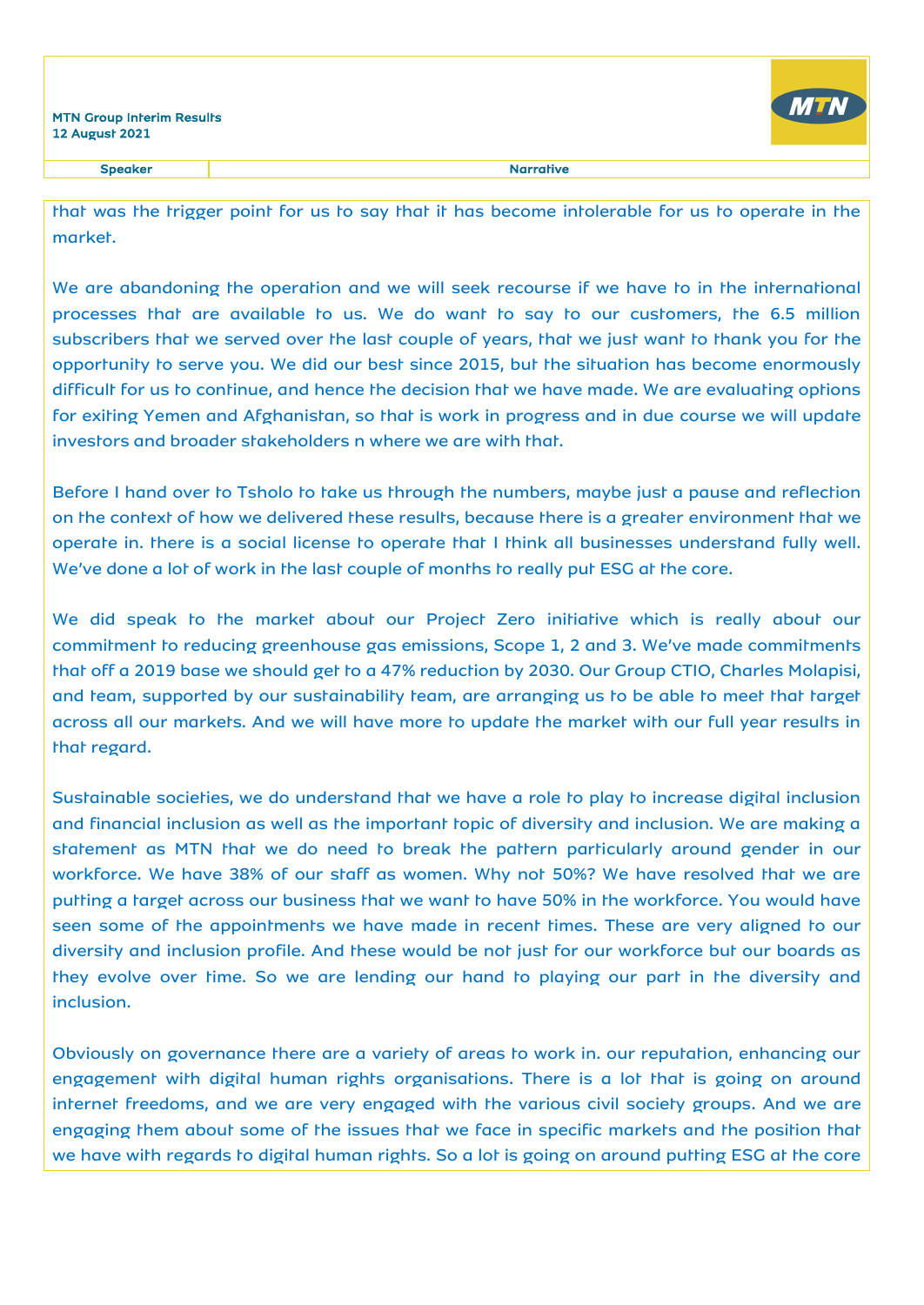

Speaker Narrative Narrative

that was the trigger point for us to say that it has become intolerable for us to operate in the market.

We are abandoning the operation and we will seek recourse if we have to in the international processes that are available to us. We do want to say to our customers, the 6.5 million subscribers that we served over the last couple of years, that we just want to thank you for the opportunity to serve you. We did our best since 2015, but the situation has become enormously difficult for us to continue, and hence the decision that we have made. We are evaluating options for exiting Yemen and Afghanistan, so that is work in progress and in due course we will update investors and broader stakeholders n where we are with that.

Before I hand over to Tsholo to take us through the numbers, maybe just a pause and reflection on the context of how we delivered these results, because there is a greater environment that we operate in. there is a social license to operate that I think all businesses understand fully well. We've done a lot of work in the last couple of months to really put ESG at the core.

We did speak to the market about our Project Zero initiative which is really about our commitment to reducing greenhouse gas emissions, Scope 1, 2 and 3. We've made commitments that off a 2019 base we should get to a 47% reduction by 2030. Our Group CTIO, Charles Molapisi, and team, supported by our sustainability team, are arranging us to be able to meet that target across all our markets. And we will have more to update the market with our full year results in that regard.

Sustainable societies, we do understand that we have a role to play to increase digital inclusion and financial inclusion as well as the important topic of diversity and inclusion. We are making a statement as MTN that we do need to break the pattern particularly around gender in our workforce. We have 38% of our staff as women. Why not 50%? We have resolved that we are putting a target across our business that we want to have 50% in the workforce. You would have seen some of the appointments we have made in recent times. These are very aligned to our diversity and inclusion profile. And these would be not just for our workforce but our boards as they evolve over time. So we are lending our hand to playing our part in the diversity and inclusion.

Obviously on governance there are a variety of areas to work in. our reputation, enhancing our engagement with digital human rights organisations. There is a lot that is going on around internet freedoms, and we are very engaged with the various civil society groups. And we are engaging them about some of the issues that we face in specific markets and the position that we have with regards to digital human rights. So a lot is going on around putting ESG at the core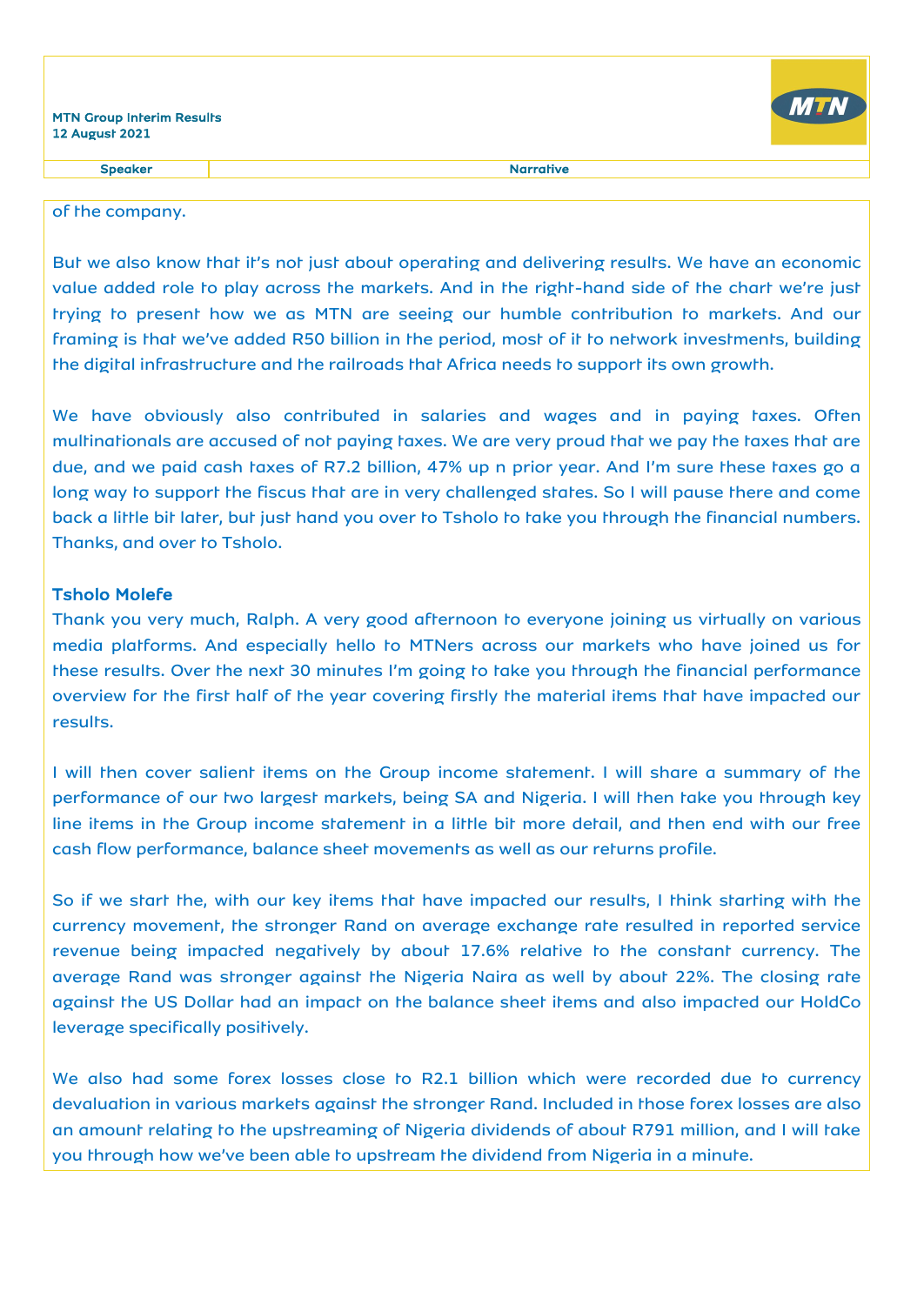

Speaker and the state of the state of the state of the state of the state of the state of the state of the state of the state of the state of the state of the state of the state of the state of the state of the state of th

### of the company.

But we also know that it's not just about operating and delivering results. We have an economic value added role to play across the markets. And in the right-hand side of the chart we're just trying to present how we as MTN are seeing our humble contribution to markets. And our framing is that we've added R50 billion in the period, most of it to network investments, building the digital infrastructure and the railroads that Africa needs to support its own growth.

We have obviously also contributed in salaries and wages and in paying taxes. Often multinationals are accused of not paying taxes. We are very proud that we pay the taxes that are due, and we paid cash taxes of R7.2 billion, 47% up n prior year. And I'm sure these taxes go a long way to support the fiscus that are in very challenged states. So I will pause there and come back a little bit later, but just hand you over to Tsholo to take you through the financial numbers. Thanks, and over to Tsholo.

### Tsholo Molefe

Thank you very much, Ralph. A very good afternoon to everyone joining us virtually on various media platforms. And especially hello to MTNers across our markets who have joined us for these results. Over the next 30 minutes I'm going to take you through the financial performance overview for the first half of the year covering firstly the material items that have impacted our results.

I will then cover salient items on the Group income statement. I will share a summary of the performance of our two largest markets, being SA and Nigeria. I will then take you through key line items in the Group income statement in a little bit more detail, and then end with our free cash flow performance, balance sheet movements as well as our returns profile.

So if we start the, with our key items that have impacted our results, I think starting with the currency movement, the stronger Rand on average exchange rate resulted in reported service revenue being impacted negatively by about 17.6% relative to the constant currency. The average Rand was stronger against the Nigeria Naira as well by about 22%. The closing rate against the US Dollar had an impact on the balance sheet items and also impacted our HoldCo leverage specifically positively.

We also had some forex losses close to R2.1 billion which were recorded due to currency devaluation in various markets against the stronger Rand. Included in those forex losses are also an amount relating to the upstreaming of Nigeria dividends of about R791 million, and I will take you through how we've been able to upstream the dividend from Nigeria in a minute.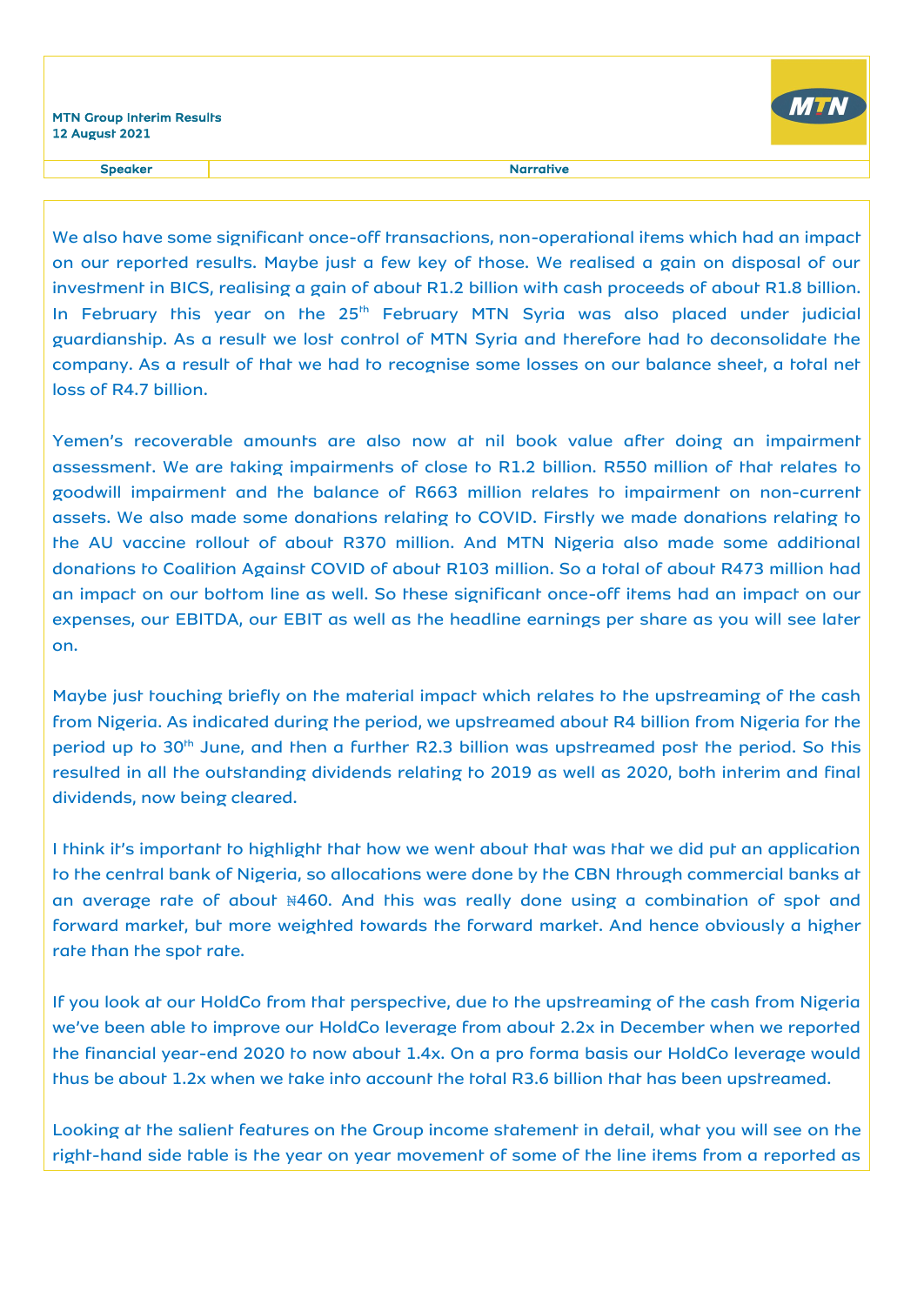

Speaker and the state of the state of the state of the Speaker and the Speaker and the Speaker and the Speaker

We also have some significant once-off transactions, non-operational items which had an impact on our reported results. Maybe just a few key of those. We realised a gain on disposal of our investment in BICS, realising a gain of about R1.2 billion with cash proceeds of about R1.8 billion. In February this year on the 25<sup>th</sup> February MTN Syria was also placed under judicial guardianship. As a result we lost control of MTN Syria and therefore had to deconsolidate the company. As a result of that we had to recognise some losses on our balance sheet, a total net loss of R4.7 billion.

Yemen's recoverable amounts are also now at nil book value after doing an impairment assessment. We are taking impairments of close to R1.2 billion. R550 million of that relates to goodwill impairment and the balance of R663 million relates to impairment on non-current assets. We also made some donations relating to COVID. Firstly we made donations relating to the AU vaccine rollout of about R370 million. And MTN Nigeria also made some additional donations to Coalition Against COVID of about R103 million. So a total of about R473 million had an impact on our bottom line as well. So these significant once-off items had an impact on our expenses, our EBITDA, our EBIT as well as the headline earnings per share as you will see later on.

Maybe just touching briefly on the material impact which relates to the upstreaming of the cash from Nigeria. As indicated during the period, we upstreamed about R4 billion from Nigeria for the period up to 30<sup>th</sup> June, and then a further R2.3 billion was upstreamed post the period. So this resulted in all the outstanding dividends relating to 2019 as well as 2020, both interim and final dividends, now being cleared.

I think it's important to highlight that how we went about that was that we did put an application to the central bank of Nigeria, so allocations were done by the CBN through commercial banks at an average rate of about ₦460. And this was really done using a combination of spot and forward market, but more weighted towards the forward market. And hence obviously a higher rate than the spot rate.

If you look at our HoldCo from that perspective, due to the upstreaming of the cash from Nigeria we've been able to improve our HoldCo leverage from about 2.2x in December when we reported the financial year-end 2020 to now about 1.4x. On a pro forma basis our HoldCo leverage would thus be about 1.2x when we take into account the total R3.6 billion that has been upstreamed.

Looking at the salient features on the Group income statement in detail, what you will see on the right-hand side table is the year on year movement of some of the line items from a reported as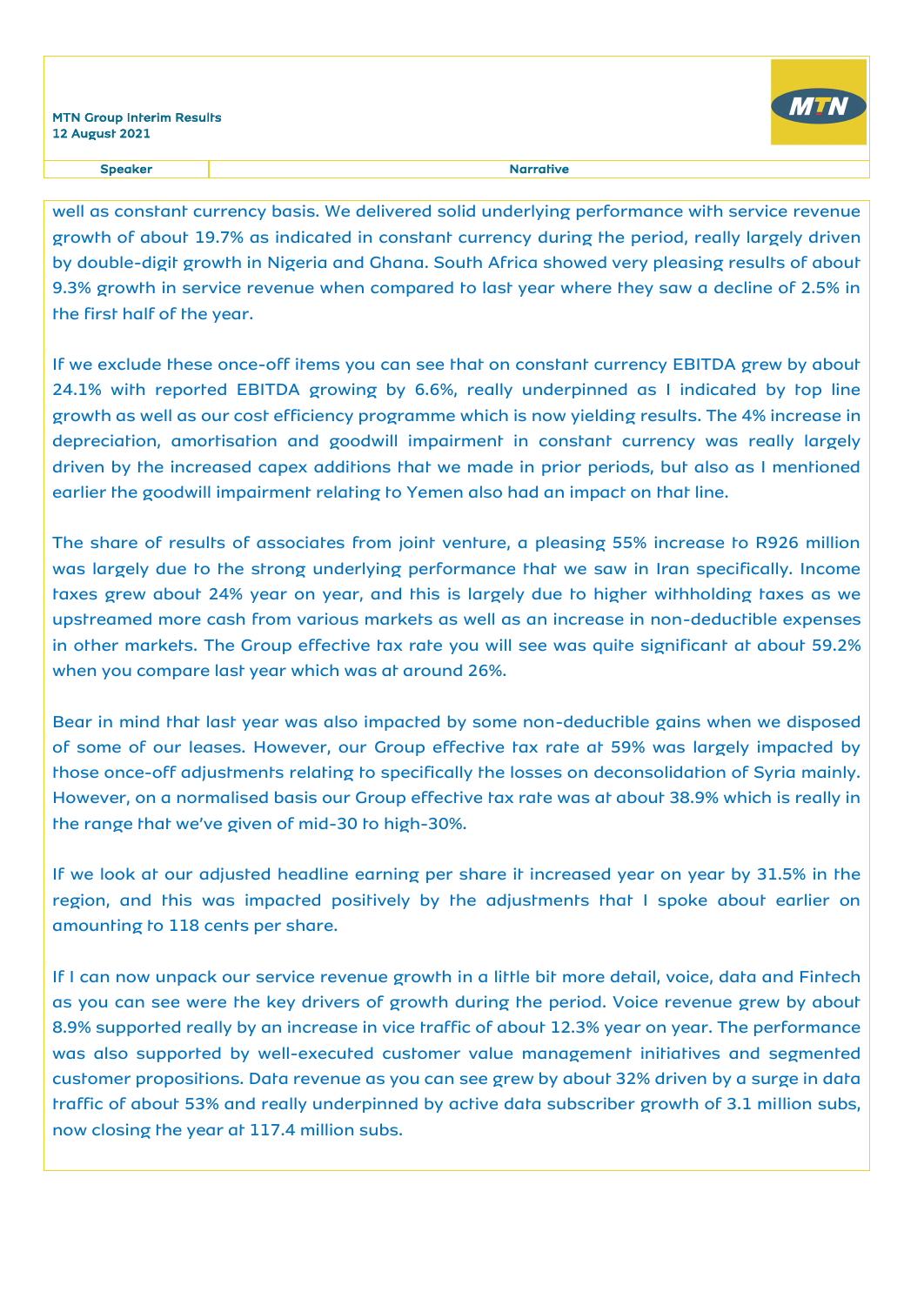

well as constant currency basis. We delivered solid underlying performance with service revenue growth of about 19.7% as indicated in constant currency during the period, really largely driven by double-digit growth in Nigeria and Ghana. South Africa showed very pleasing results of about 9.3% growth in service revenue when compared to last year where they saw a decline of 2.5% in the first half of the year.

If we exclude these once-off items you can see that on constant currency EBITDA grew by about 24.1% with reported EBITDA growing by 6.6%, really underpinned as I indicated by top line growth as well as our cost efficiency programme which is now yielding results. The 4% increase in depreciation, amortisation and goodwill impairment in constant currency was really largely driven by the increased capex additions that we made in prior periods, but also as I mentioned earlier the goodwill impairment relating to Yemen also had an impact on that line.

The share of results of associates from joint venture, a pleasing 55% increase to R926 million was largely due to the strong underlying performance that we saw in Iran specifically. Income taxes grew about 24% year on year, and this is largely due to higher withholding taxes as we upstreamed more cash from various markets as well as an increase in non-deductible expenses in other markets. The Group effective tax rate you will see was quite significant at about 59.2% when you compare last year which was at around 26%.

Bear in mind that last year was also impacted by some non-deductible gains when we disposed of some of our leases. However, our Group effective tax rate at 59% was largely impacted by those once-off adjustments relating to specifically the losses on deconsolidation of Syria mainly. However, on a normalised basis our Group effective tax rate was at about 38.9% which is really in the range that we've given of mid-30 to high-30%.

If we look at our adjusted headline earning per share it increased year on year by 31.5% in the region, and this was impacted positively by the adjustments that I spoke about earlier on amounting to 118 cents per share.

If I can now unpack our service revenue growth in a little bit more detail, voice, data and Fintech as you can see were the key drivers of growth during the period. Voice revenue grew by about 8.9% supported really by an increase in vice traffic of about 12.3% year on year. The performance was also supported by well-executed customer value management initiatives and segmented customer propositions. Data revenue as you can see grew by about 32% driven by a surge in data traffic of about 53% and really underpinned by active data subscriber growth of 3.1 million subs, now closing the year at 117.4 million subs.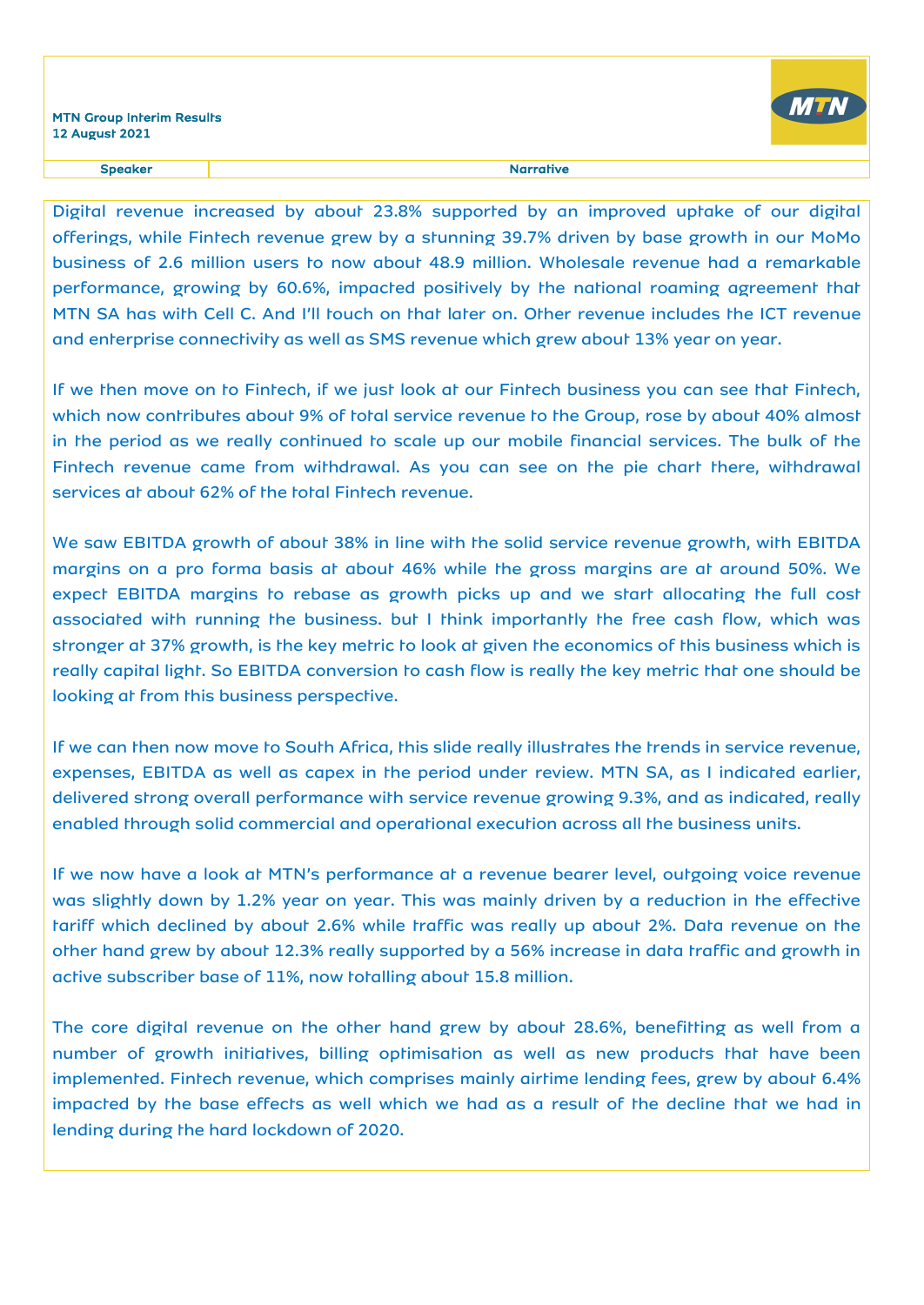

#### Speaker **Narrative** Narrative

Digital revenue increased by about 23.8% supported by an improved uptake of our digital offerings, while Fintech revenue grew by a stunning 39.7% driven by base growth in our MoMo business of 2.6 million users to now about 48.9 million. Wholesale revenue had a remarkable performance, growing by 60.6%, impacted positively by the national roaming agreement that MTN SA has with Cell C. And I'll touch on that later on. Other revenue includes the ICT revenue and enterprise connectivity as well as SMS revenue which grew about 13% year on year.

If we then move on to Fintech, if we just look at our Fintech business you can see that Fintech, which now contributes about 9% of total service revenue to the Group, rose by about 40% almost in the period as we really continued to scale up our mobile financial services. The bulk of the Fintech revenue came from withdrawal. As you can see on the pie chart there, withdrawal services at about 62% of the total Fintech revenue.

We saw EBITDA growth of about 38% in line with the solid service revenue growth, with EBITDA margins on a pro forma basis at about 46% while the gross margins are at around 50%. We expect EBITDA margins to rebase as growth picks up and we start allocating the full cost associated with running the business. but I think importantly the free cash flow, which was stronger at 37% growth, is the key metric to look at given the economics of this business which is really capital light. So EBITDA conversion to cash flow is really the key metric that one should be looking at from this business perspective.

If we can then now move to South Africa, this slide really illustrates the trends in service revenue, expenses, EBITDA as well as capex in the period under review. MTN SA, as I indicated earlier, delivered strong overall performance with service revenue growing 9.3%, and as indicated, really enabled through solid commercial and operational execution across all the business units.

If we now have a look at MTN's performance at a revenue bearer level, outgoing voice revenue was slightly down by 1.2% year on year. This was mainly driven by a reduction in the effective tariff which declined by about 2.6% while traffic was really up about 2%. Data revenue on the other hand grew by about 12.3% really supported by a 56% increase in data traffic and growth in active subscriber base of 11%, now totalling about 15.8 million.

The core digital revenue on the other hand grew by about 28.6%, benefitting as well from a number of growth initiatives, billing optimisation as well as new products that have been implemented. Fintech revenue, which comprises mainly airtime lending fees, grew by about 6.4% impacted by the base effects as well which we had as a result of the decline that we had in lending during the hard lockdown of 2020.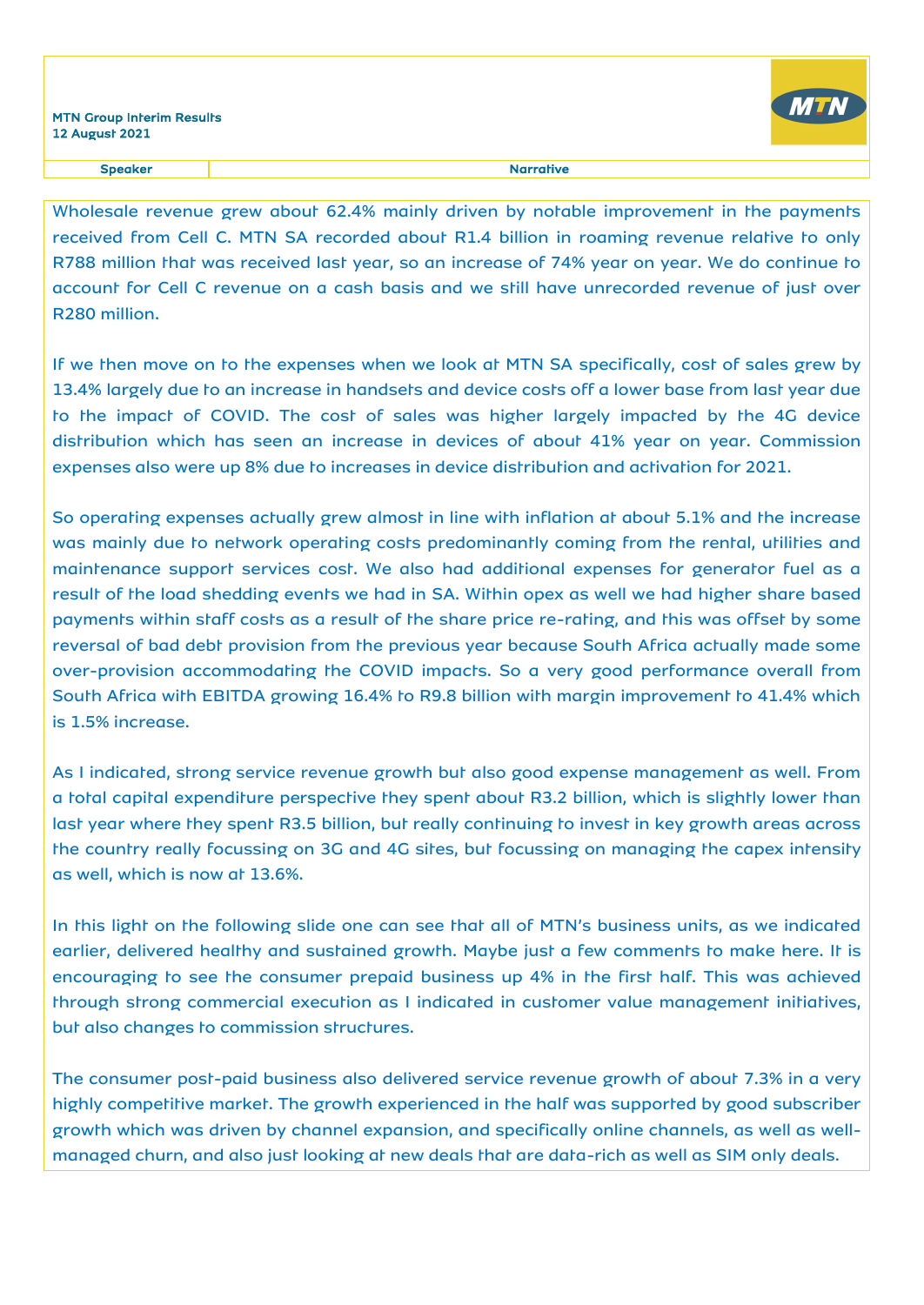

Wholesale revenue grew about 62.4% mainly driven by notable improvement in the payments received from Cell C. MTN SA recorded about R1.4 billion in roaming revenue relative to only R788 million that was received last year, so an increase of 74% year on year. We do continue to account for Cell C revenue on a cash basis and we still have unrecorded revenue of just over R280 million.

If we then move on to the expenses when we look at MTN SA specifically, cost of sales grew by 13.4% largely due to an increase in handsets and device costs off a lower base from last year due to the impact of COVID. The cost of sales was higher largely impacted by the 4G device distribution which has seen an increase in devices of about 41% year on year. Commission expenses also were up 8% due to increases in device distribution and activation for 2021.

So operating expenses actually grew almost in line with inflation at about 5.1% and the increase was mainly due to network operating costs predominantly coming from the rental, utilities and maintenance support services cost. We also had additional expenses for generator fuel as a result of the load shedding events we had in SA. Within opex as well we had higher share based payments within staff costs as a result of the share price re-rating, and this was offset by some reversal of bad debt provision from the previous year because South Africa actually made some over-provision accommodating the COVID impacts. So a very good performance overall from South Africa with EBITDA growing 16.4% to R9.8 billion with margin improvement to 41.4% which is 1.5% increase.

As I indicated, strong service revenue growth but also good expense management as well. From a total capital expenditure perspective they spent about R3.2 billion, which is slightly lower than last year where they spent R3.5 billion, but really continuing to invest in key growth areas across the country really focussing on 3G and 4G sites, but focussing on managing the capex intensity as well, which is now at 13.6%.

In this light on the following slide one can see that all of MTN's business units, as we indicated earlier, delivered healthy and sustained growth. Maybe just a few comments to make here. It is encouraging to see the consumer prepaid business up 4% in the first half. This was achieved through strong commercial execution as I indicated in customer value management initiatives, but also changes to commission structures.

The consumer post-paid business also delivered service revenue growth of about 7.3% in a very highly competitive market. The growth experienced in the half was supported by good subscriber growth which was driven by channel expansion, and specifically online channels, as well as wellmanaged churn, and also just looking at new deals that are data-rich as well as SIM only deals.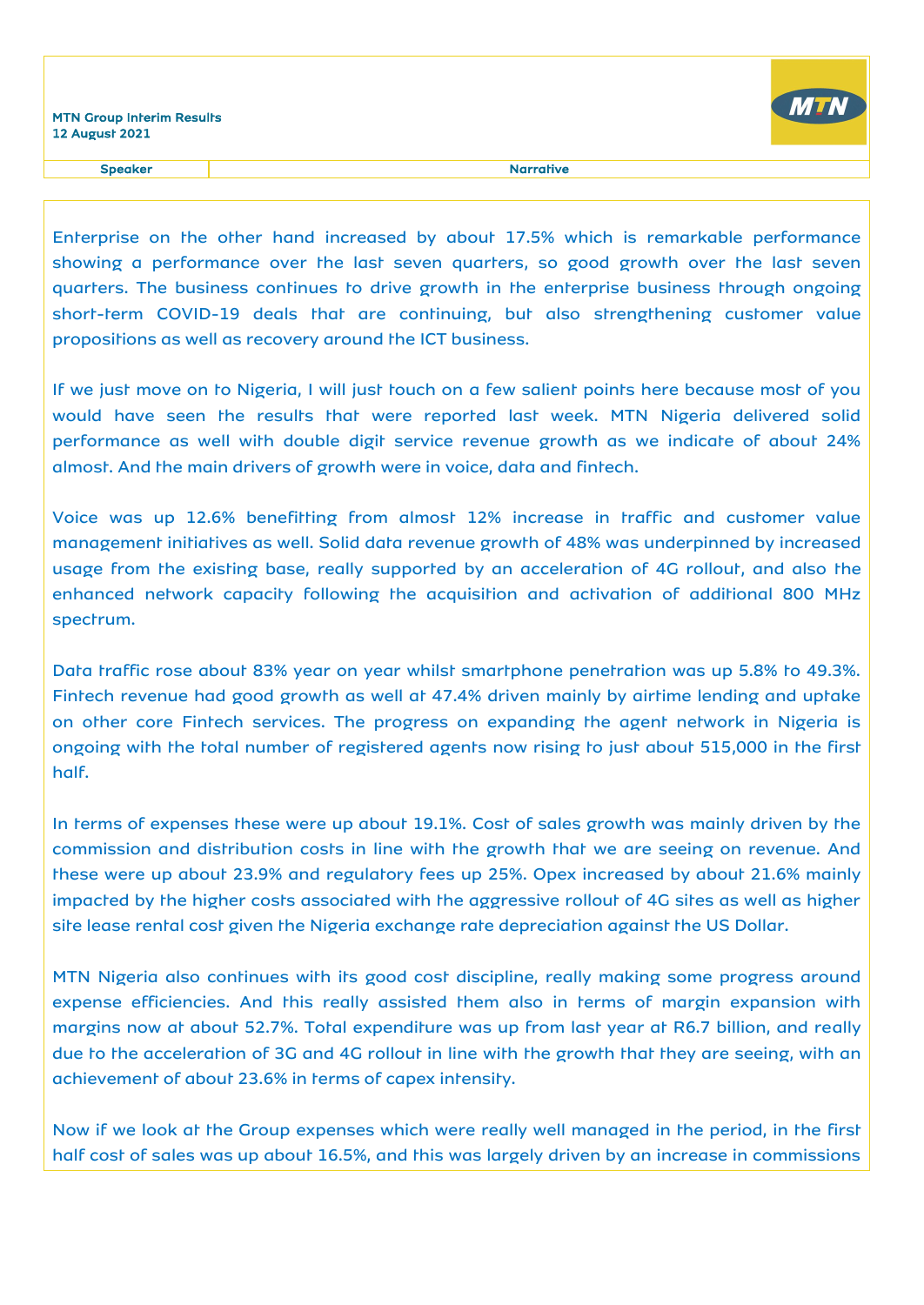

Speaker and the state of the state of the state of the Speaker and the Speaker and the Speaker and the Speaker

Enterprise on the other hand increased by about 17.5% which is remarkable performance showing a performance over the last seven quarters, so good growth over the last seven quarters. The business continues to drive growth in the enterprise business through ongoing short-term COVID-19 deals that are continuing, but also strengthening customer value propositions as well as recovery around the ICT business.

If we just move on to Nigeria, I will just touch on a few salient points here because most of you would have seen the results that were reported last week. MTN Nigeria delivered solid performance as well with double digit service revenue growth as we indicate of about 24% almost. And the main drivers of growth were in voice, data and fintech.

Voice was up 12.6% benefitting from almost 12% increase in traffic and customer value management initiatives as well. Solid data revenue growth of 48% was underpinned by increased usage from the existing base, really supported by an acceleration of 4G rollout, and also the enhanced network capacity following the acquisition and activation of additional 800 MHz spectrum.

Data traffic rose about 83% year on year whilst smartphone penetration was up 5.8% to 49.3%. Fintech revenue had good growth as well at 47.4% driven mainly by airtime lending and uptake on other core Fintech services. The progress on expanding the agent network in Nigeria is ongoing with the total number of registered agents now rising to just about 515,000 in the first half.

In terms of expenses these were up about 19.1%. Cost of sales growth was mainly driven by the commission and distribution costs in line with the growth that we are seeing on revenue. And these were up about 23.9% and regulatory fees up 25%. Opex increased by about 21.6% mainly impacted by the higher costs associated with the aggressive rollout of 4G sites as well as higher site lease rental cost given the Nigeria exchange rate depreciation against the US Dollar.

MTN Nigeria also continues with its good cost discipline, really making some progress around expense efficiencies. And this really assisted them also in terms of margin expansion with margins now at about 52.7%. Total expenditure was up from last year at R6.7 billion, and really due to the acceleration of 3G and 4G rollout in line with the growth that they are seeing, with an achievement of about 23.6% in terms of capex intensity.

Now if we look at the Group expenses which were really well managed in the period, in the first half cost of sales was up about 16.5%, and this was largely driven by an increase in commissions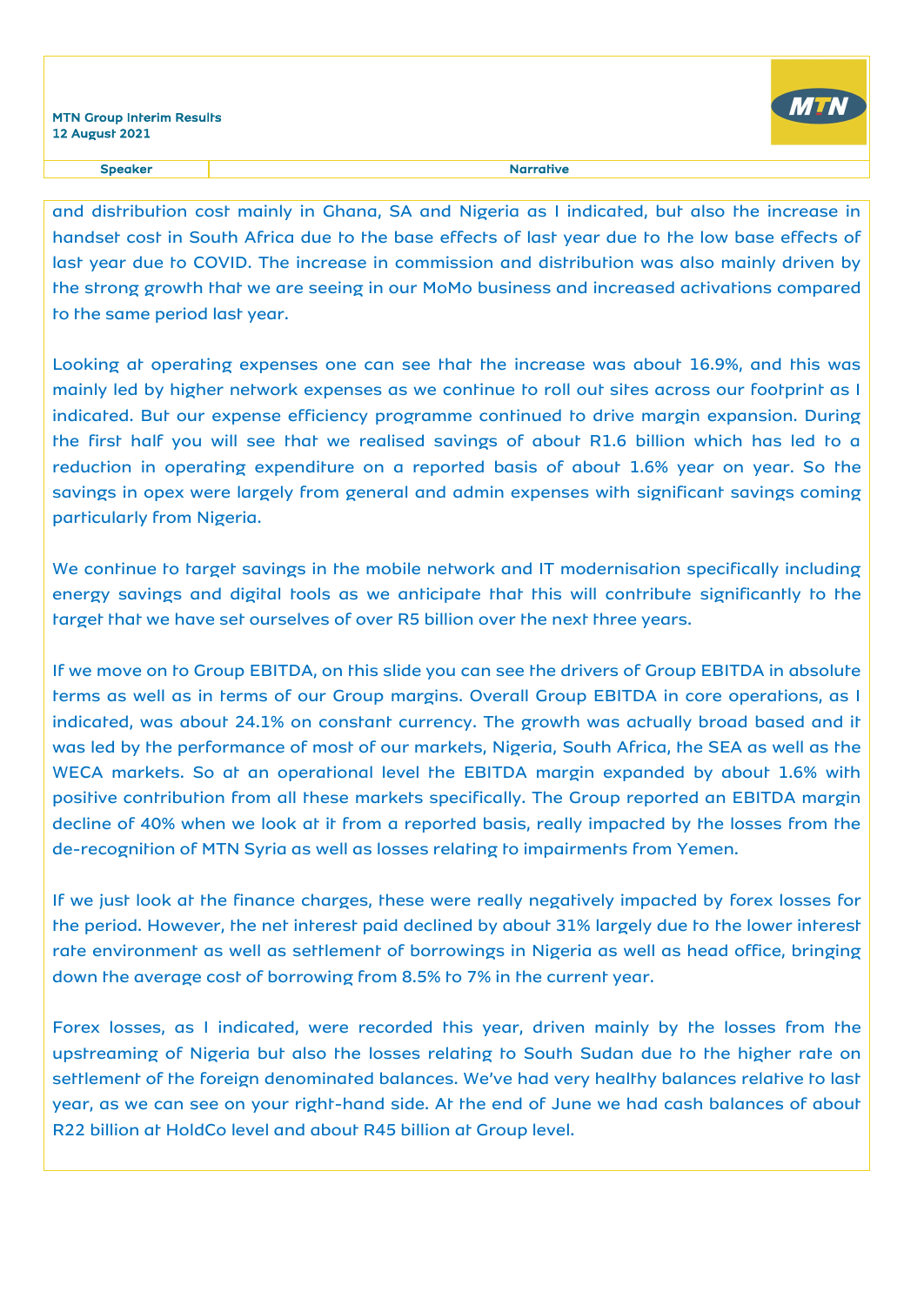

and distribution cost mainly in Ghana, SA and Nigeria as I indicated, but also the increase in handset cost in South Africa due to the base effects of last year due to the low base effects of last year due to COVID. The increase in commission and distribution was also mainly driven by the strong growth that we are seeing in our MoMo business and increased activations compared to the same period last year.

Looking at operating expenses one can see that the increase was about 16.9%, and this was mainly led by higher network expenses as we continue to roll out sites across our footprint as I indicated. But our expense efficiency programme continued to drive margin expansion. During the first half you will see that we realised savings of about R1.6 billion which has led to a reduction in operating expenditure on a reported basis of about 1.6% year on year. So the savings in opex were largely from general and admin expenses with significant savings coming particularly from Nigeria.

We continue to target savings in the mobile network and IT modernisation specifically including energy savings and digital tools as we anticipate that this will contribute significantly to the target that we have set ourselves of over R5 billion over the next three years.

If we move on to Group EBITDA, on this slide you can see the drivers of Group EBITDA in absolute terms as well as in terms of our Group margins. Overall Group EBITDA in core operations, as I indicated, was about 24.1% on constant currency. The growth was actually broad based and it was led by the performance of most of our markets, Nigeria, South Africa, the SEA as well as the WECA markets. So at an operational level the EBITDA margin expanded by about 1.6% with positive contribution from all these markets specifically. The Group reported an EBITDA margin decline of 40% when we look at it from a reported basis, really impacted by the losses from the de-recognition of MTN Syria as well as losses relating to impairments from Yemen.

If we just look at the finance charges, these were really negatively impacted by forex losses for the period. However, the net interest paid declined by about 31% largely due to the lower interest rate environment as well as settlement of borrowings in Nigeria as well as head office, bringing down the average cost of borrowing from 8.5% to 7% in the current year.

Forex losses, as I indicated, were recorded this year, driven mainly by the losses from the upstreaming of Nigeria but also the losses relating to South Sudan due to the higher rate on settlement of the foreign denominated balances. We've had very healthy balances relative to last year, as we can see on your right-hand side. At the end of June we had cash balances of about R22 billion at HoldCo level and about R45 billion at Group level.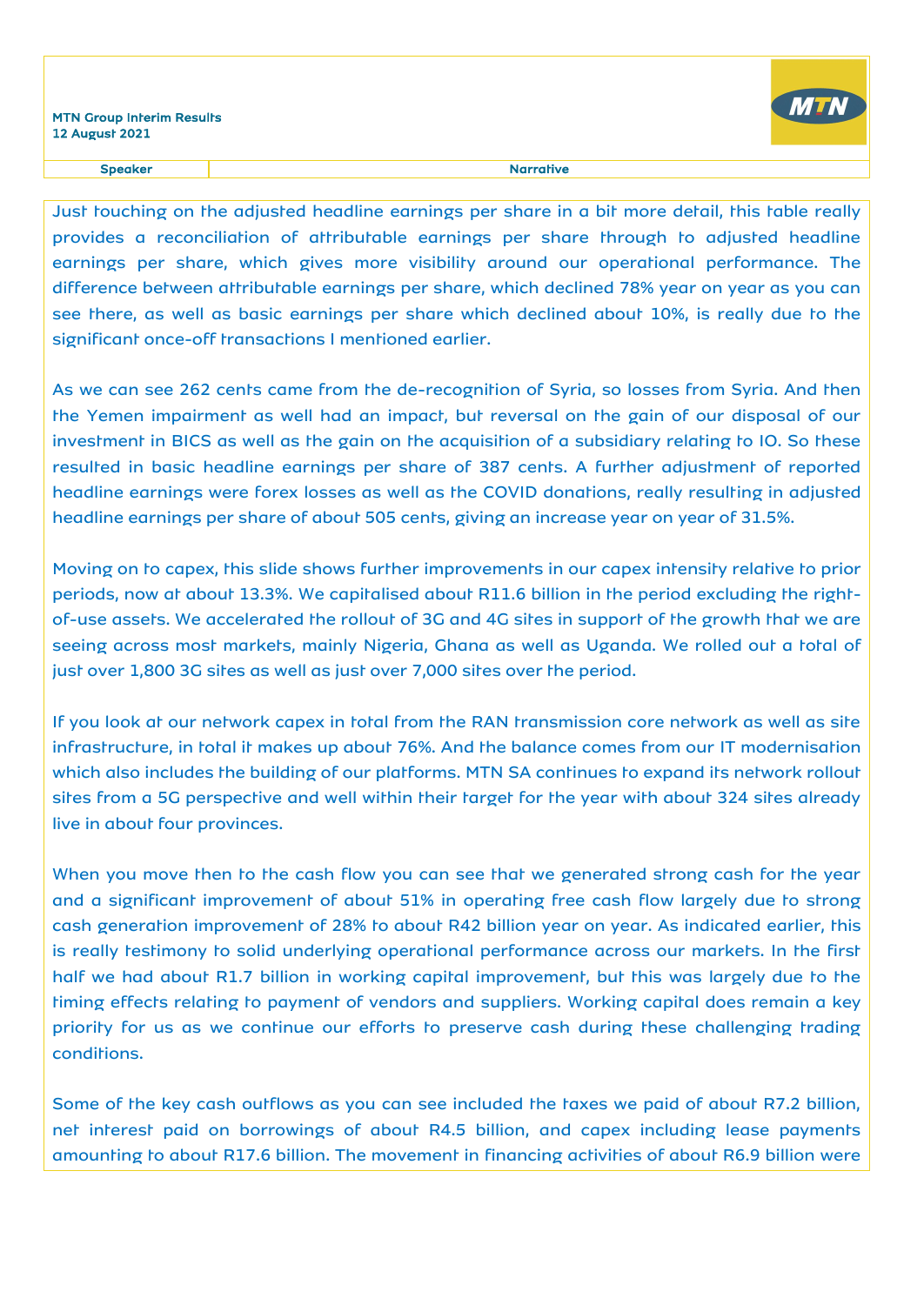

Just touching on the adjusted headline earnings per share in a bit more detail, this table really provides a reconciliation of attributable earnings per share through to adjusted headline earnings per share, which gives more visibility around our operational performance. The difference between attributable earnings per share, which declined 78% year on year as you can see there, as well as basic earnings per share which declined about 10%, is really due to the significant once-off transactions I mentioned earlier.

As we can see 262 cents came from the de-recognition of Syria, so losses from Syria. And then the Yemen impairment as well had an impact, but reversal on the gain of our disposal of our investment in BICS as well as the gain on the acquisition of a subsidiary relating to IO. So these resulted in basic headline earnings per share of 387 cents. A further adjustment of reported headline earnings were forex losses as well as the COVID donations, really resulting in adjusted headline earnings per share of about 505 cents, giving an increase year on year of 31.5%.

Moving on to capex, this slide shows further improvements in our capex intensity relative to prior periods, now at about 13.3%. We capitalised about R11.6 billion in the period excluding the rightof-use assets. We accelerated the rollout of 3G and 4G sites in support of the growth that we are seeing across most markets, mainly Nigeria, Ghana as well as Uganda. We rolled out a total of just over 1,800 3G sites as well as just over 7,000 sites over the period.

If you look at our network capex in total from the RAN transmission core network as well as site infrastructure, in total it makes up about 76%. And the balance comes from our IT modernisation which also includes the building of our platforms. MTN SA continues to expand its network rollout sites from a 5G perspective and well within their target for the year with about 324 sites already live in about four provinces.

When you move then to the cash flow you can see that we generated strong cash for the year and a significant improvement of about 51% in operating free cash flow largely due to strong cash generation improvement of 28% to about R42 billion year on year. As indicated earlier, this is really testimony to solid underlying operational performance across our markets. In the first half we had about R1.7 billion in working capital improvement, but this was largely due to the timing effects relating to payment of vendors and suppliers. Working capital does remain a key priority for us as we continue our efforts to preserve cash during these challenging trading conditions.

Some of the key cash outflows as you can see included the taxes we paid of about R7.2 billion, net interest paid on borrowings of about R4.5 billion, and capex including lease payments amounting to about R17.6 billion. The movement in financing activities of about R6.9 billion were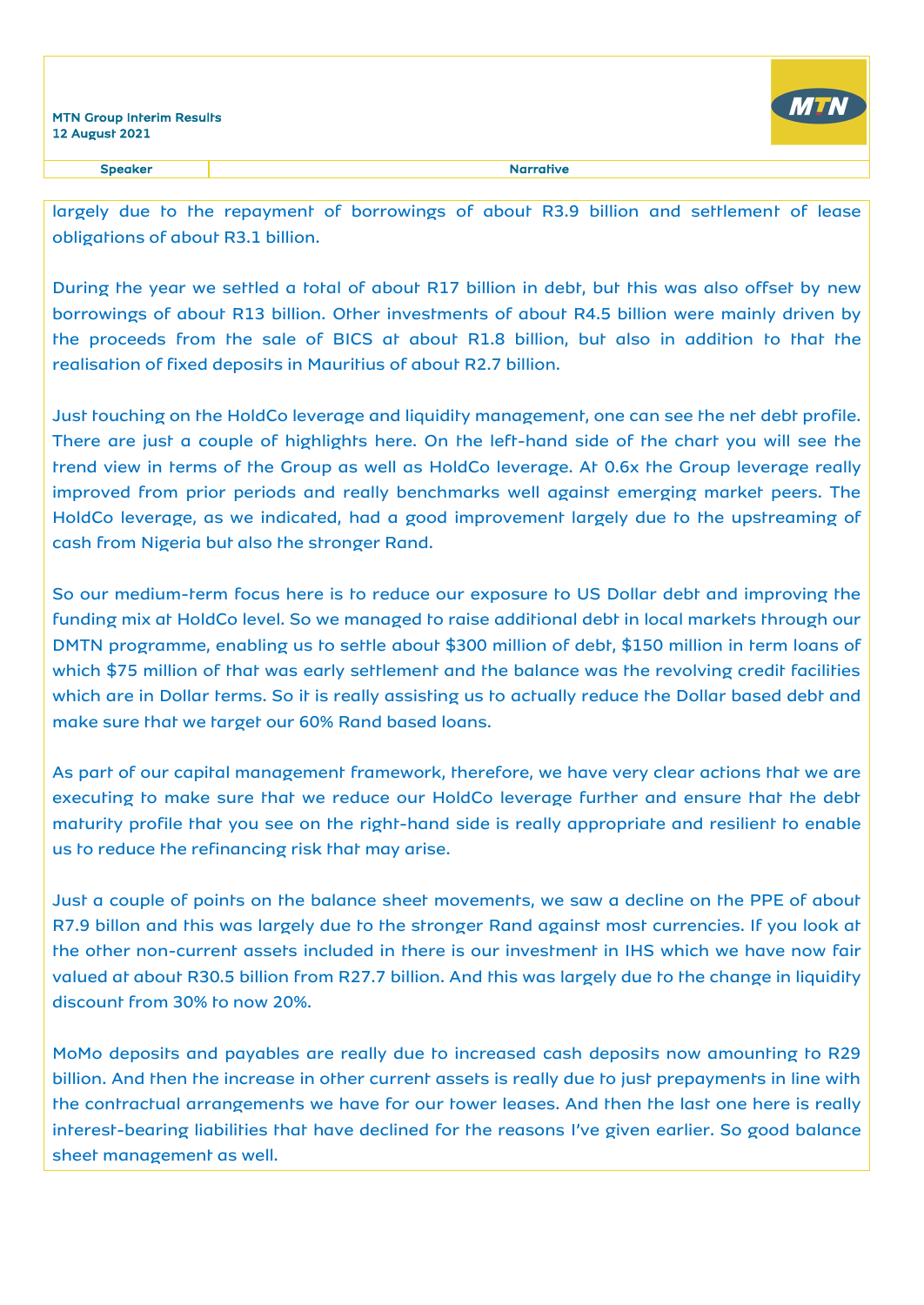

largely due to the repayment of borrowings of about R3.9 billion and settlement of lease obligations of about R3.1 billion.

During the year we settled a total of about R17 billion in debt, but this was also offset by new borrowings of about R13 billion. Other investments of about R4.5 billion were mainly driven by the proceeds from the sale of BICS at about R1.8 billion, but also in addition to that the realisation of fixed deposits in Mauritius of about R2.7 billion.

Just touching on the HoldCo leverage and liquidity management, one can see the net debt profile. There are just a couple of highlights here. On the left-hand side of the chart you will see the trend view in terms of the Group as well as HoldCo leverage. At 0.6x the Group leverage really improved from prior periods and really benchmarks well against emerging market peers. The HoldCo leverage, as we indicated, had a good improvement largely due to the upstreaming of cash from Nigeria but also the stronger Rand.

So our medium-term focus here is to reduce our exposure to US Dollar debt and improving the funding mix at HoldCo level. So we managed to raise additional debt in local markets through our DMTN programme, enabling us to settle about \$300 million of debt, \$150 million in term loans of which \$75 million of that was early settlement and the balance was the revolving credit facilities which are in Dollar terms. So it is really assisting us to actually reduce the Dollar based debt and make sure that we target our 60% Rand based loans.

As part of our capital management framework, therefore, we have very clear actions that we are executing to make sure that we reduce our HoldCo leverage further and ensure that the debt maturity profile that you see on the right-hand side is really appropriate and resilient to enable us to reduce the refinancing risk that may arise.

Just a couple of points on the balance sheet movements, we saw a decline on the PPE of about R7.9 billon and this was largely due to the stronger Rand against most currencies. If you look at the other non-current assets included in there is our investment in IHS which we have now fair valued at about R30.5 billion from R27.7 billion. And this was largely due to the change in liquidity discount from 30% to now 20%.

MoMo deposits and payables are really due to increased cash deposits now amounting to R29 billion. And then the increase in other current assets is really due to just prepayments in line with the contractual arrangements we have for our tower leases. And then the last one here is really interest-bearing liabilities that have declined for the reasons I've given earlier. So good balance sheet management as well.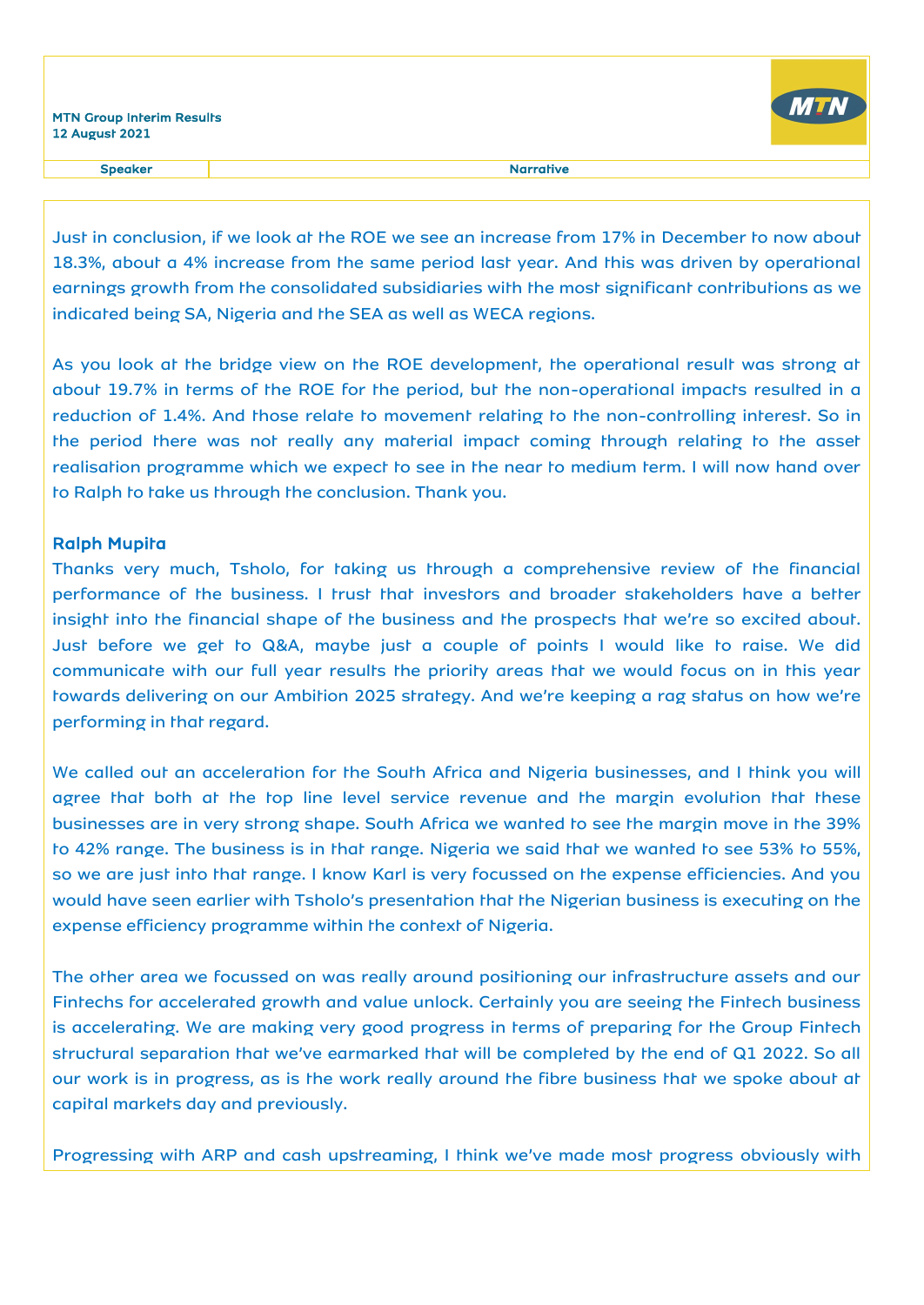

Speaker and the state of the state of the state of the Speaker and the Speaker and the Speaker and the Speaker

Just in conclusion, if we look at the ROE we see an increase from 17% in December to now about 18.3%, about a 4% increase from the same period last year. And this was driven by operational earnings growth from the consolidated subsidiaries with the most significant contributions as we indicated being SA, Nigeria and the SEA as well as WECA regions.

As you look at the bridge view on the ROE development, the operational result was strong at about 19.7% in terms of the ROE for the period, but the non-operational impacts resulted in a reduction of 1.4%. And those relate to movement relating to the non-controlling interest. So in the period there was not really any material impact coming through relating to the asset realisation programme which we expect to see in the near to medium term. I will now hand over to Ralph to take us through the conclusion. Thank you.

### Ralph Mupita

Thanks very much, Tsholo, for taking us through a comprehensive review of the financial performance of the business. I trust that investors and broader stakeholders have a better insight into the financial shape of the business and the prospects that we're so excited about. Just before we get to Q&A, maybe just a couple of points I would like to raise. We did communicate with our full year results the priority areas that we would focus on in this year towards delivering on our Ambition 2025 strategy. And we're keeping a rag status on how we're performing in that regard.

We called out an acceleration for the South Africa and Nigeria businesses, and I think you will agree that both at the top line level service revenue and the margin evolution that these businesses are in very strong shape. South Africa we wanted to see the margin move in the 39% to 42% range. The business is in that range. Nigeria we said that we wanted to see 53% to 55%, so we are just into that range. I know Karl is very focussed on the expense efficiencies. And you would have seen earlier with Tsholo's presentation that the Nigerian business is executing on the expense efficiency programme within the context of Nigeria.

The other area we focussed on was really around positioning our infrastructure assets and our Fintechs for accelerated growth and value unlock. Certainly you are seeing the Fintech business is accelerating. We are making very good progress in terms of preparing for the Group Fintech structural separation that we've earmarked that will be completed by the end of Q1 2022. So all our work is in progress, as is the work really around the fibre business that we spoke about at capital markets day and previously.

Progressing with ARP and cash upstreaming, I think we've made most progress obviously with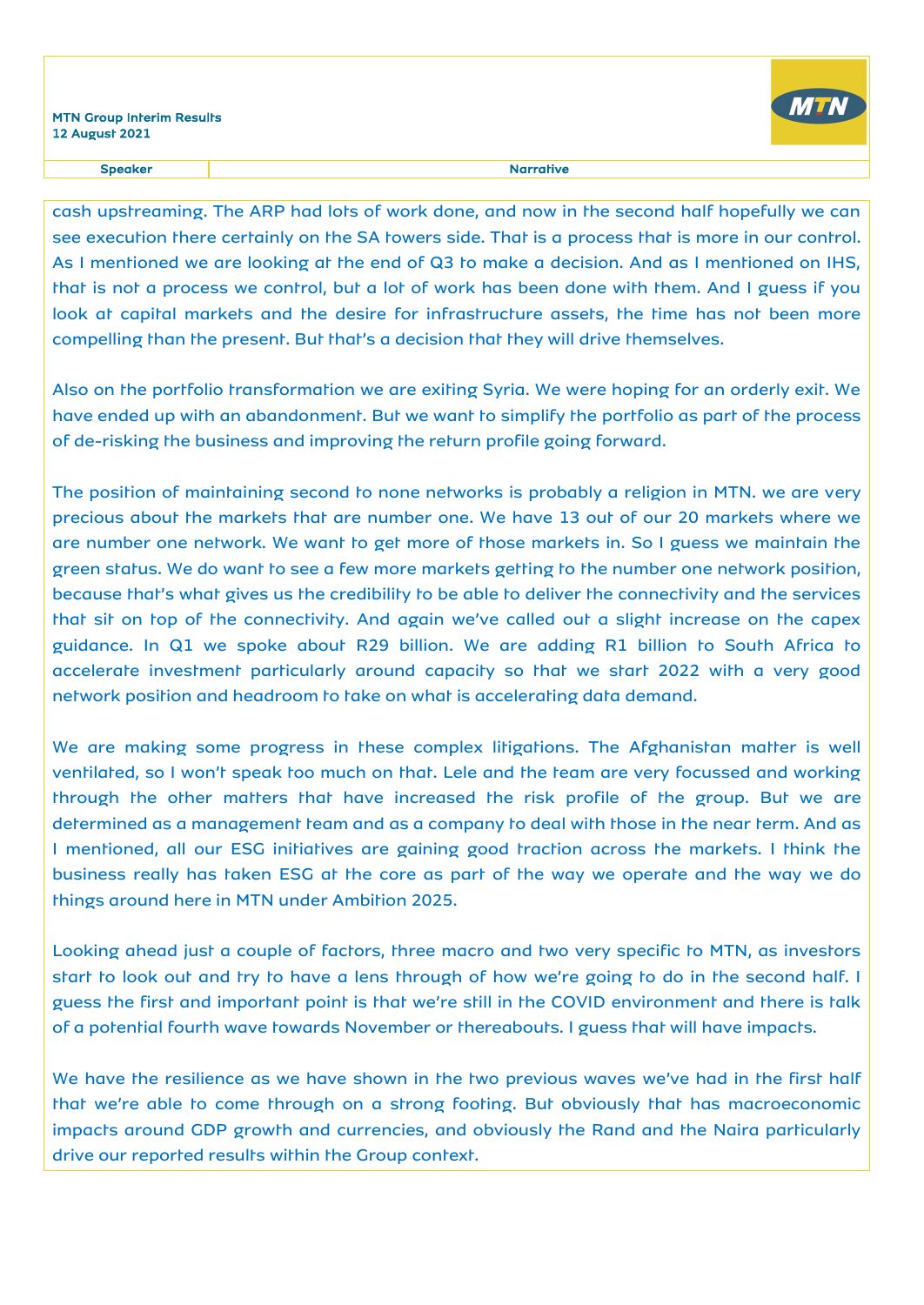

cash upstreaming. The ARP had lots of work done, and now in the second half hopefully we can see execution there certainly on the SA towers side. That is a process that is more in our control. As I mentioned we are looking at the end of Q3 to make a decision. And as I mentioned on IHS, that is not a process we control, but a lot of work has been done with them. And I guess if you look at capital markets and the desire for infrastructure assets, the time has not been more compelling than the present. But that's a decision that they will drive themselves.

Also on the portfolio transformation we are exiting Syria. We were hoping for an orderly exit. We have ended up with an abandonment. But we want to simplify the portfolio as part of the process of de-risking the business and improving the return profile going forward.

The position of maintaining second to none networks is probably a religion in MTN. we are very precious about the markets that are number one. We have 13 out of our 20 markets where we are number one network. We want to get more of those markets in. So I guess we maintain the green status. We do want to see a few more markets getting to the number one network position, because that's what gives us the credibility to be able to deliver the connectivity and the services that sit on top of the connectivity. And again we've called out a slight increase on the capex guidance. In Q1 we spoke about R29 billion. We are adding R1 billion to South Africa to accelerate investment particularly around capacity so that we start 2022 with a very good network position and headroom to take on what is accelerating data demand.

We are making some progress in these complex litigations. The Afghanistan matter is well ventilated, so I won't speak too much on that. Lele and the team are very focussed and working through the other matters that have increased the risk profile of the group. But we are determined as a management team and as a company to deal with those in the near term. And as I mentioned, all our ESG initiatives are gaining good traction across the markets. I think the business really has taken ESG at the core as part of the way we operate and the way we do things around here in MTN under Ambition 2025.

Looking ahead just a couple of factors, three macro and two very specific to MTN, as investors start to look out and try to have a lens through of how we're going to do in the second half. I guess the first and important point is that we're still in the COVID environment and there is talk of a potential fourth wave towards November or thereabouts. I guess that will have impacts.

We have the resilience as we have shown in the two previous waves we've had in the first half that we're able to come through on a strong footing. But obviously that has macroeconomic impacts around GDP growth and currencies, and obviously the Rand and the Naira particularly drive our reported results within the Group context.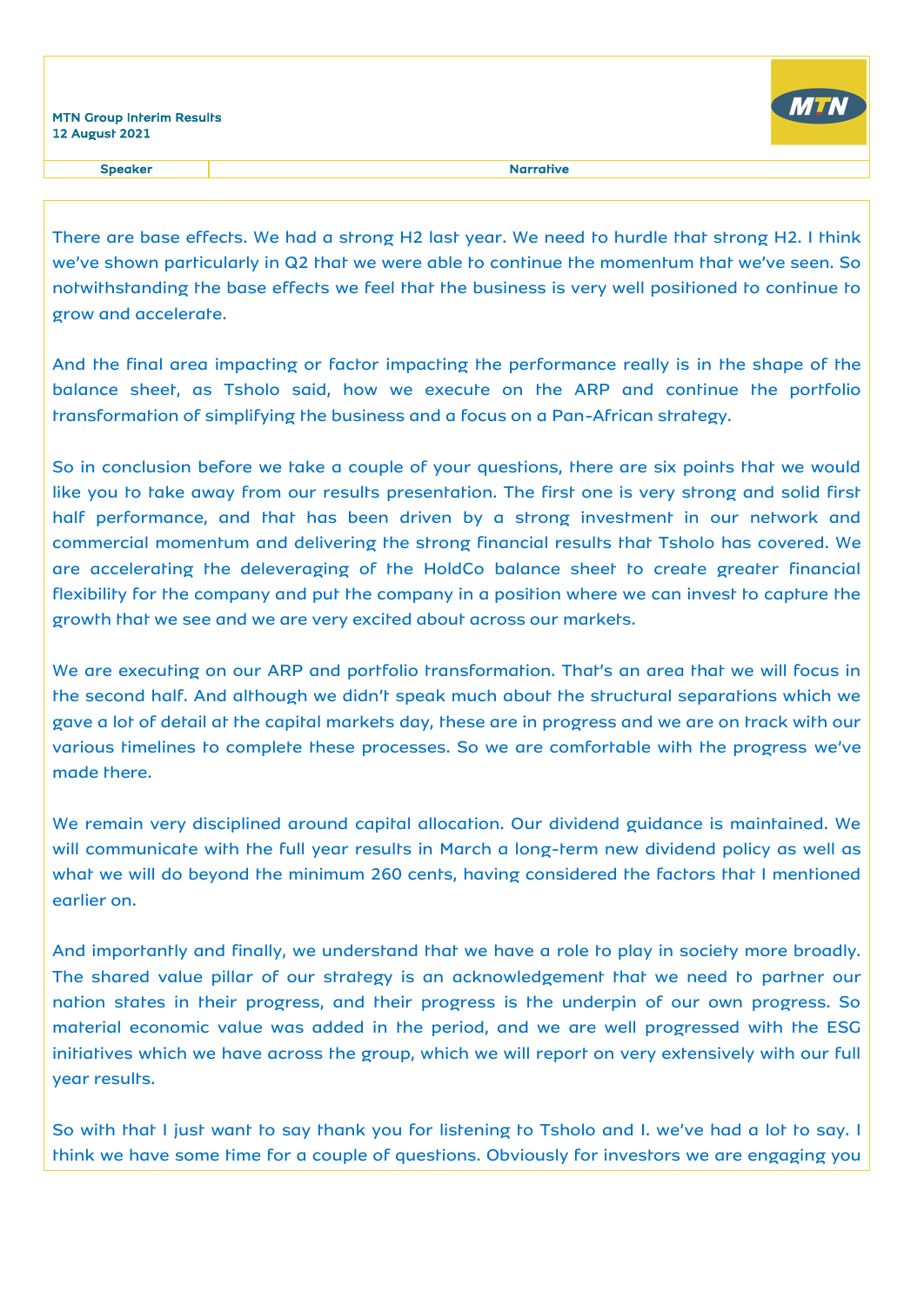

Speaker and the state of the state of the state of the Speaker and the Speaker and the Speaker and the Speaker

There are base effects. We had a strong H2 last year. We need to hurdle that strong H2. I think we've shown particularly in Q2 that we were able to continue the momentum that we've seen. So notwithstanding the base effects we feel that the business is very well positioned to continue to grow and accelerate.

And the final area impacting or factor impacting the performance really is in the shape of the balance sheet, as Tsholo said, how we execute on the ARP and continue the portfolio transformation of simplifying the business and a focus on a Pan-African strategy.

So in conclusion before we take a couple of your questions, there are six points that we would like you to take away from our results presentation. The first one is very strong and solid first half performance, and that has been driven by a strong investment in our network and commercial momentum and delivering the strong financial results that Tsholo has covered. We are accelerating the deleveraging of the HoldCo balance sheet to create greater financial flexibility for the company and put the company in a position where we can invest to capture the growth that we see and we are very excited about across our markets.

We are executing on our ARP and portfolio transformation. That's an area that we will focus in the second half. And although we didn't speak much about the structural separations which we gave a lot of detail at the capital markets day, these are in progress and we are on track with our various timelines to complete these processes. So we are comfortable with the progress we've made there.

We remain very disciplined around capital allocation. Our dividend guidance is maintained. We will communicate with the full year results in March a long-term new dividend policy as well as what we will do beyond the minimum 260 cents, having considered the factors that I mentioned earlier on.

And importantly and finally, we understand that we have a role to play in society more broadly. The shared value pillar of our strategy is an acknowledgement that we need to partner our nation states in their progress, and their progress is the underpin of our own progress. So material economic value was added in the period, and we are well progressed with the ESG initiatives which we have across the group, which we will report on very extensively with our full year results.

So with that I just want to say thank you for listening to Tsholo and I. we've had a lot to say. I think we have some time for a couple of questions. Obviously for investors we are engaging you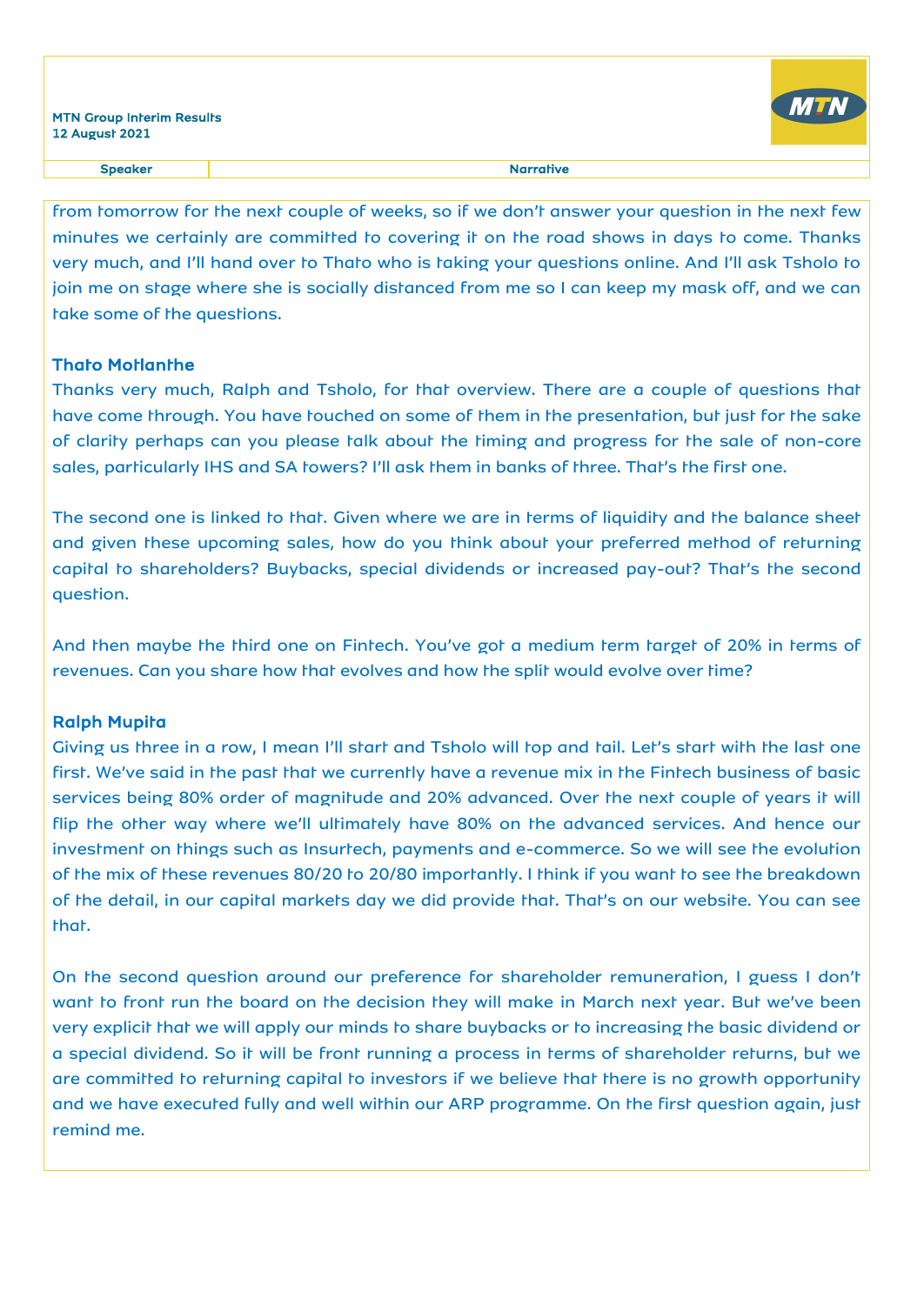

#### Speaker Narrative

from tomorrow for the next couple of weeks, so if we don't answer your question in the next few minutes we certainly are committed to covering it on the road shows in days to come. Thanks very much, and I'll hand over to Thato who is taking your questions online. And I'll ask Tsholo to join me on stage where she is socially distanced from me so I can keep my mask off, and we can take some of the questions.

## Thato Motlanthe

Thanks very much, Ralph and Tsholo, for that overview. There are a couple of questions that have come through. You have touched on some of them in the presentation, but just for the sake of clarity perhaps can you please talk about the timing and progress for the sale of non-core sales, particularly IHS and SA towers? I'll ask them in banks of three. That's the first one.

The second one is linked to that. Given where we are in terms of liquidity and the balance sheet and given these upcoming sales, how do you think about your preferred method of returning capital to shareholders? Buybacks, special dividends or increased pay-out? That's the second question.

And then maybe the third one on Fintech. You've got a medium term target of 20% in terms of revenues. Can you share how that evolves and how the split would evolve over time?

## Ralph Mupita

Giving us three in a row, I mean I'll start and Tsholo will top and tail. Let's start with the last one first. We've said in the past that we currently have a revenue mix in the Fintech business of basic services being 80% order of magnitude and 20% advanced. Over the next couple of years it will flip the other way where we'll ultimately have 80% on the advanced services. And hence our investment on things such as Insurtech, payments and e-commerce. So we will see the evolution of the mix of these revenues 80/20 to 20/80 importantly. I think if you want to see the breakdown of the detail, in our capital markets day we did provide that. That's on our website. You can see that.

On the second question around our preference for shareholder remuneration, I guess I don't want to front run the board on the decision they will make in March next year. But we've been very explicit that we will apply our minds to share buybacks or to increasing the basic dividend or a special dividend. So it will be front running a process in terms of shareholder returns, but we are committed to returning capital to investors if we believe that there is no growth opportunity and we have executed fully and well within our ARP programme. On the first question again, just remind me.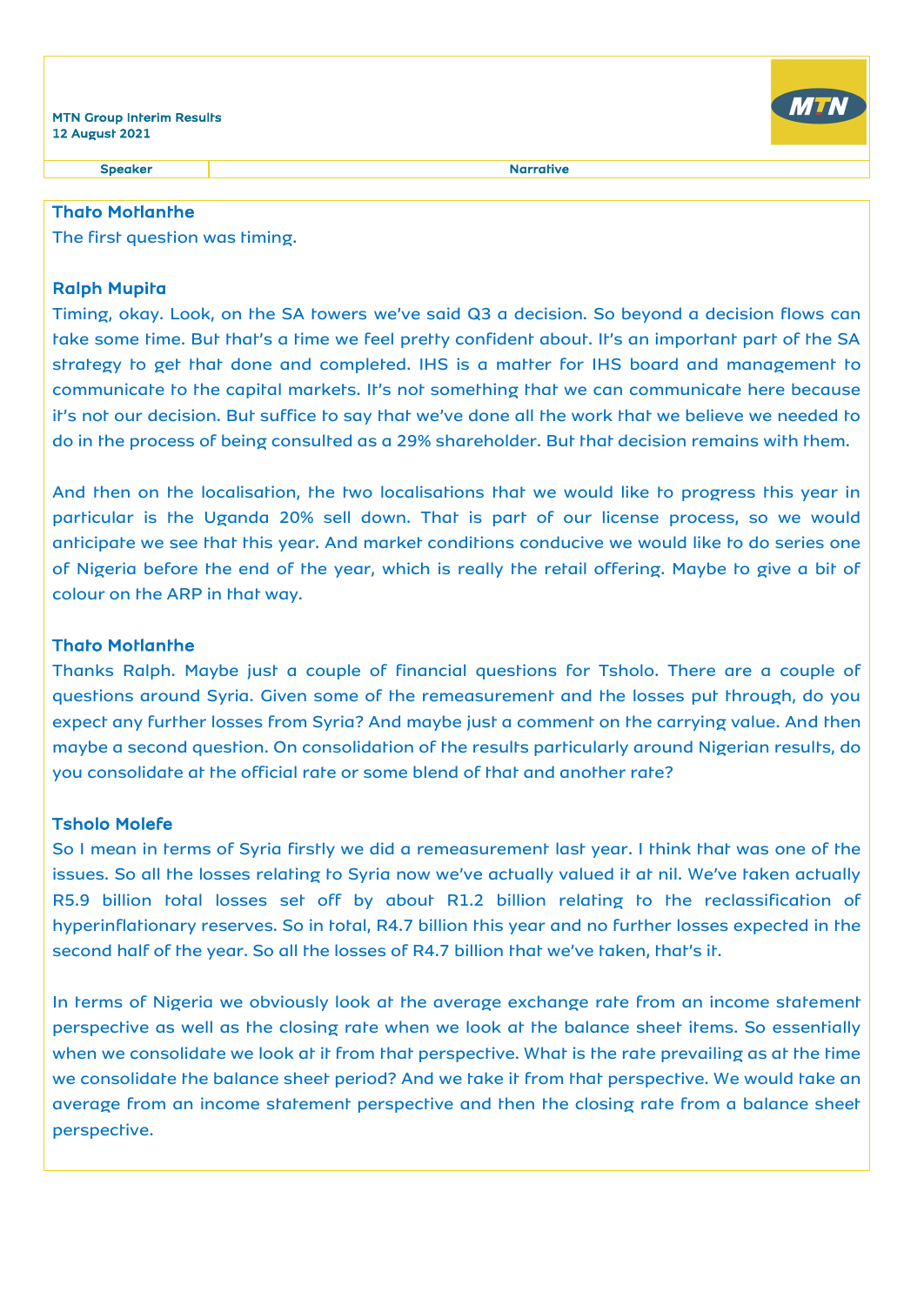Speaker Narrative

## Thato Motlanthe

The first question was timing.

## Ralph Mupita

Timing, okay. Look, on the SA towers we've said Q3 a decision. So beyond a decision flows can take some time. But that's a time we feel pretty confident about. It's an important part of the SA strategy to get that done and completed. IHS is a matter for IHS board and management to communicate to the capital markets. It's not something that we can communicate here because it's not our decision. But suffice to say that we've done all the work that we believe we needed to do in the process of being consulted as a 29% shareholder. But that decision remains with them.

And then on the localisation, the two localisations that we would like to progress this year in particular is the Uganda 20% sell down. That is part of our license process, so we would anticipate we see that this year. And market conditions conducive we would like to do series one of Nigeria before the end of the year, which is really the retail offering. Maybe to give a bit of colour on the ARP in that way.

## Thato Motlanthe

Thanks Ralph. Maybe just a couple of financial questions for Tsholo. There are a couple of questions around Syria. Given some of the remeasurement and the losses put through, do you expect any further losses from Syria? And maybe just a comment on the carrying value. And then maybe a second question. On consolidation of the results particularly around Nigerian results, do you consolidate at the official rate or some blend of that and another rate?

## Tsholo Molefe

So I mean in terms of Syria firstly we did a remeasurement last year. I think that was one of the issues. So all the losses relating to Syria now we've actually valued it at nil. We've taken actually R5.9 billion total losses set off by about R1.2 billion relating to the reclassification of hyperinflationary reserves. So in total, R4.7 billion this year and no further losses expected in the second half of the year. So all the losses of R4.7 billion that we've taken, that's it.

In terms of Nigeria we obviously look at the average exchange rate from an income statement perspective as well as the closing rate when we look at the balance sheet items. So essentially when we consolidate we look at it from that perspective. What is the rate prevailing as at the time we consolidate the balance sheet period? And we take it from that perspective. We would take an average from an income statement perspective and then the closing rate from a balance sheet perspective.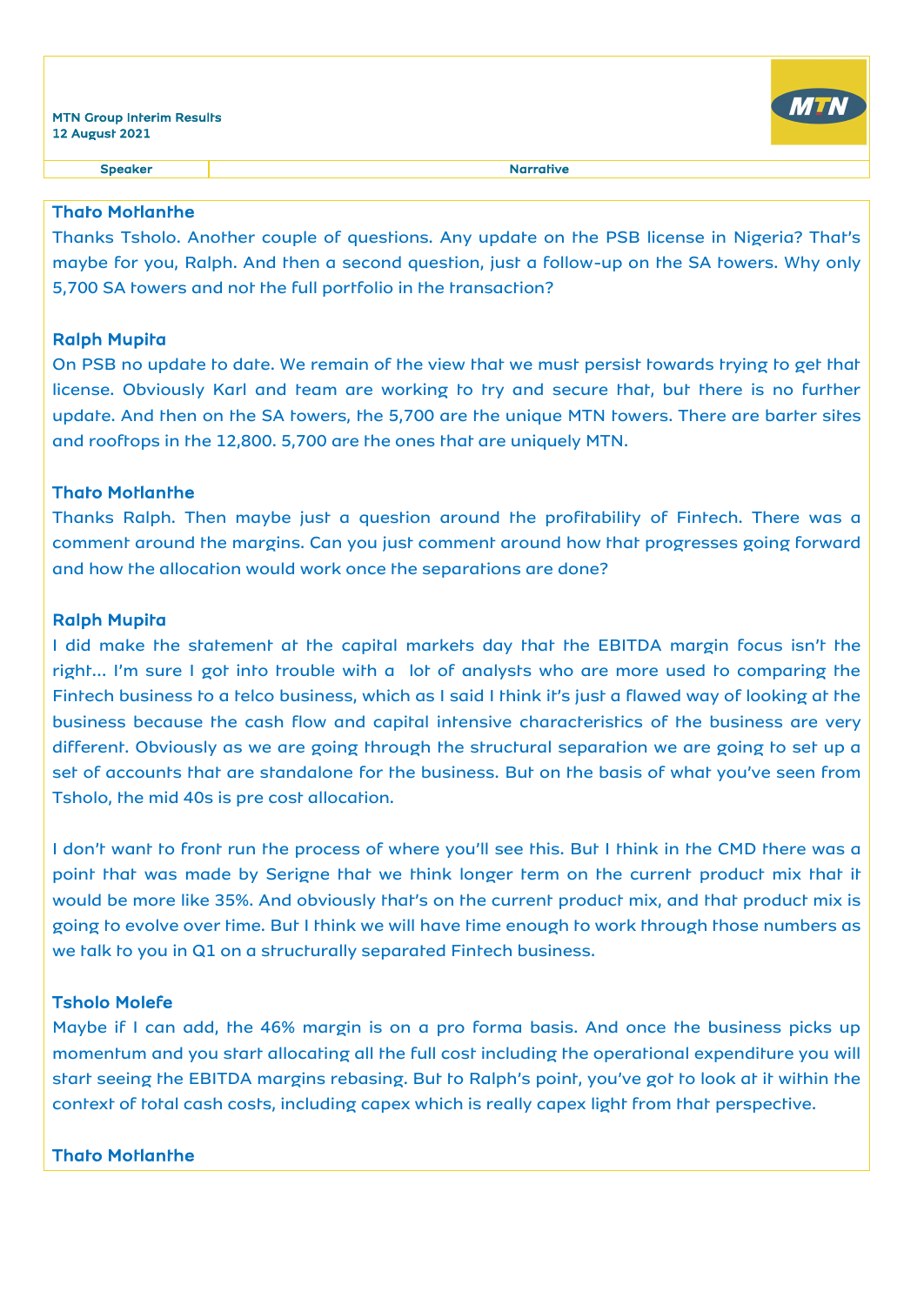

## Thato Motlanthe

Thanks Tsholo. Another couple of questions. Any update on the PSB license in Nigeria? That's maybe for you, Ralph. And then a second question, just a follow-up on the SA towers. Why only 5,700 SA towers and not the full portfolio in the transaction?

## Ralph Mupita

On PSB no update to date. We remain of the view that we must persist towards trying to get that license. Obviously Karl and team are working to try and secure that, but there is no further update. And then on the SA towers, the 5,700 are the unique MTN towers. There are barter sites and rooftops in the 12,800. 5,700 are the ones that are uniquely MTN.

## Thato Motlanthe

Thanks Ralph. Then maybe just a question around the profitability of Fintech. There was a comment around the margins. Can you just comment around how that progresses going forward and how the allocation would work once the separations are done?

## Ralph Mupita

I did make the statement at the capital markets day that the EBITDA margin focus isn't the right… I'm sure I got into trouble with a lot of analysts who are more used to comparing the Fintech business to a telco business, which as I said I think it's just a flawed way of looking at the business because the cash flow and capital intensive characteristics of the business are very different. Obviously as we are going through the structural separation we are going to set up a set of accounts that are standalone for the business. But on the basis of what you've seen from Tsholo, the mid 40s is pre cost allocation.

I don't want to front run the process of where you'll see this. But I think in the CMD there was a point that was made by Serigne that we think longer term on the current product mix that it would be more like 35%. And obviously that's on the current product mix, and that product mix is going to evolve over time. But I think we will have time enough to work through those numbers as we talk to you in Q1 on a structurally separated Fintech business.

## Tsholo Molefe

Maybe if I can add, the 46% margin is on a pro forma basis. And once the business picks up momentum and you start allocating all the full cost including the operational expenditure you will start seeing the EBITDA margins rebasing. But to Ralph's point, you've got to look at it within the context of total cash costs, including capex which is really capex light from that perspective.

## Thato Motlanthe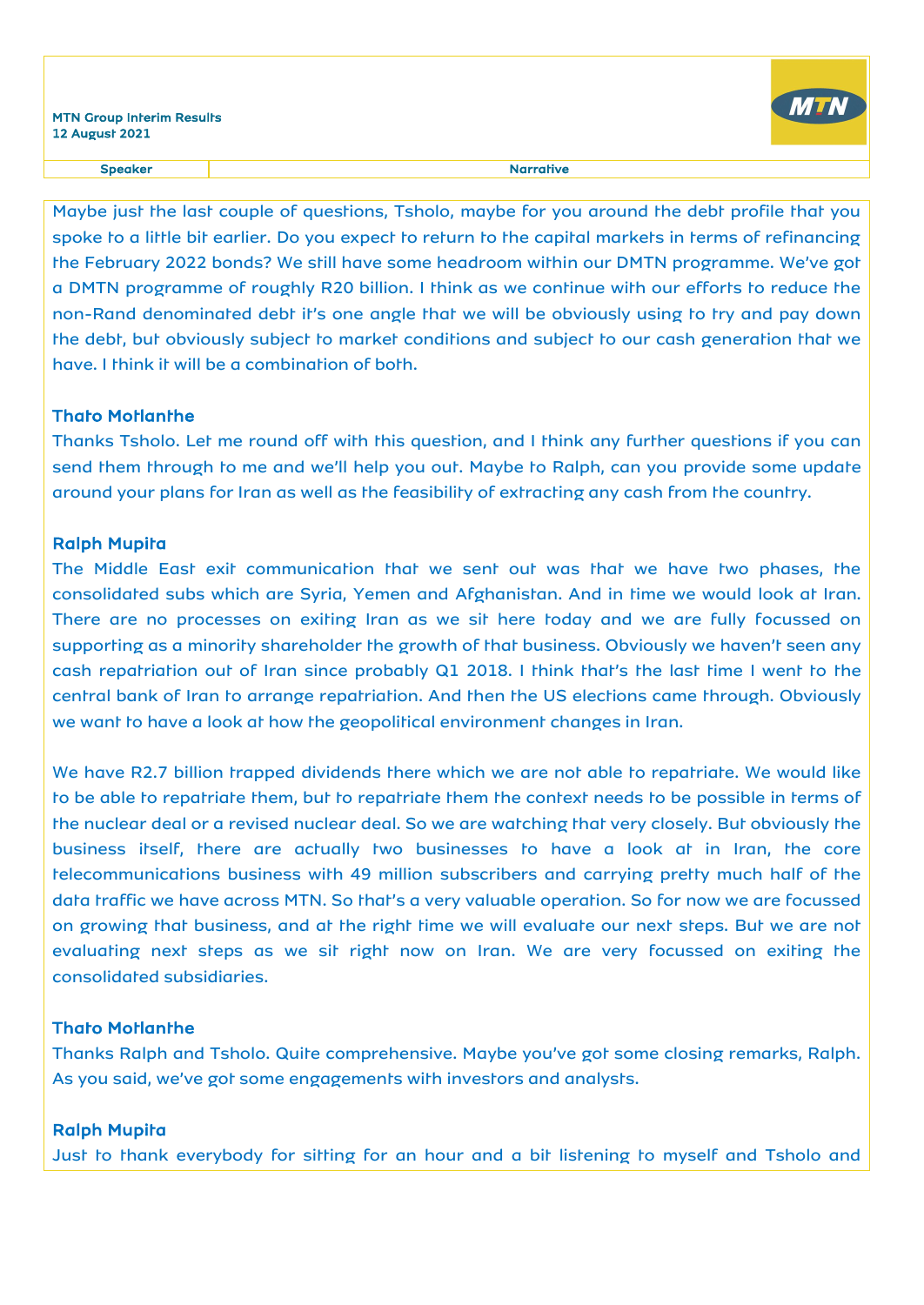

Maybe just the last couple of questions, Tsholo, maybe for you around the debt profile that you spoke to a little bit earlier. Do you expect to return to the capital markets in terms of refinancing the February 2022 bonds? We still have some headroom within our DMTN programme. We've got a DMTN programme of roughly R20 billion. I think as we continue with our efforts to reduce the non-Rand denominated debt it's one angle that we will be obviously using to try and pay down the debt, but obviously subject to market conditions and subject to our cash generation that we have. I think it will be a combination of both.

## Thato Motlanthe

Thanks Tsholo. Let me round off with this question, and I think any further questions if you can send them through to me and we'll help you out. Maybe to Ralph, can you provide some update around your plans for Iran as well as the feasibility of extracting any cash from the country.

### Ralph Mupita

The Middle East exit communication that we sent out was that we have two phases, the consolidated subs which are Syria, Yemen and Afghanistan. And in time we would look at Iran. There are no processes on exiting Iran as we sit here today and we are fully focussed on supporting as a minority shareholder the growth of that business. Obviously we haven't seen any cash repatriation out of Iran since probably Q1 2018. I think that's the last time I went to the central bank of Iran to arrange repatriation. And then the US elections came through. Obviously we want to have a look at how the geopolitical environment changes in Iran.

We have R2.7 billion trapped dividends there which we are not able to repatriate. We would like to be able to repatriate them, but to repatriate them the context needs to be possible in terms of the nuclear deal or a revised nuclear deal. So we are watching that very closely. But obviously the business itself, there are actually two businesses to have a look at in Iran, the core telecommunications business with 49 million subscribers and carrying pretty much half of the data traffic we have across MTN. So that's a very valuable operation. So for now we are focussed on growing that business, and at the right time we will evaluate our next steps. But we are not evaluating next steps as we sit right now on Iran. We are very focussed on exiting the consolidated subsidiaries.

## Thato Motlanthe

Thanks Ralph and Tsholo. Quite comprehensive. Maybe you've got some closing remarks, Ralph. As you said, we've got some engagements with investors and analysts.

#### Ralph Mupita

Just to thank everybody for sitting for an hour and a bit listening to myself and Tsholo and